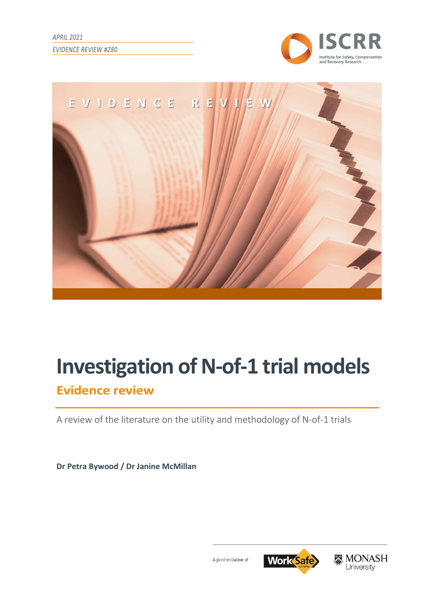



# **Investigation of N-of-1 trial models**

# **Evidence review**

A review of the literature on the utility and methodology of N-of-1 trials

**Dr Petra Bywood / Dr Janine McMillan**





A joint initiative of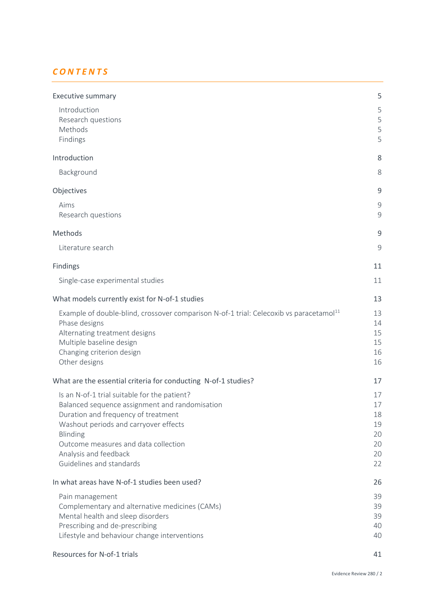# *C O N T E N T S*

| <b>Executive summary</b>                                                                                                                                                                                                                                                                | 5                                            |
|-----------------------------------------------------------------------------------------------------------------------------------------------------------------------------------------------------------------------------------------------------------------------------------------|----------------------------------------------|
| Introduction<br>Research questions<br>Methods<br>Findings                                                                                                                                                                                                                               | 5<br>5<br>5<br>5                             |
| Introduction                                                                                                                                                                                                                                                                            | 8                                            |
| Background                                                                                                                                                                                                                                                                              | 8                                            |
| Objectives                                                                                                                                                                                                                                                                              | $\mathsf 9$                                  |
| Aims<br>Research questions                                                                                                                                                                                                                                                              | 9<br>$\overline{9}$                          |
| Methods                                                                                                                                                                                                                                                                                 | 9                                            |
| Literature search                                                                                                                                                                                                                                                                       | 9                                            |
| Findings                                                                                                                                                                                                                                                                                | 11                                           |
| Single-case experimental studies                                                                                                                                                                                                                                                        | 11                                           |
| What models currently exist for N-of-1 studies                                                                                                                                                                                                                                          | 13                                           |
| Example of double-blind, crossover comparison N-of-1 trial: Celecoxib vs paracetamol <sup>11</sup><br>Phase designs<br>Alternating treatment designs<br>Multiple baseline design<br>Changing criterion design<br>Other designs                                                          | 13<br>14<br>15<br>15<br>16<br>16             |
| What are the essential criteria for conducting N-of-1 studies?                                                                                                                                                                                                                          | 17                                           |
| Is an N-of-1 trial suitable for the patient?<br>Balanced sequence assignment and randomisation<br>Duration and frequency of treatment<br>Washout periods and carryover effects<br>Blinding<br>Outcome measures and data collection<br>Analysis and feedback<br>Guidelines and standards | 17<br>17<br>18<br>19<br>20<br>20<br>20<br>22 |
| In what areas have N-of-1 studies been used?                                                                                                                                                                                                                                            | 26                                           |
| Pain management<br>Complementary and alternative medicines (CAMs)<br>Mental health and sleep disorders<br>Prescribing and de-prescribing<br>Lifestyle and behaviour change interventions                                                                                                | 39<br>39<br>39<br>40<br>40                   |
| Resources for N-of-1 trials                                                                                                                                                                                                                                                             | 41                                           |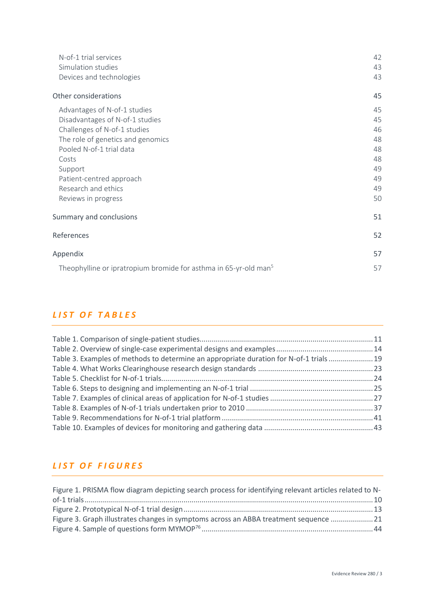| N-of-1 trial services                                                        | 42 |
|------------------------------------------------------------------------------|----|
| Simulation studies                                                           | 43 |
| Devices and technologies                                                     | 43 |
| Other considerations                                                         | 45 |
| Advantages of N-of-1 studies                                                 | 45 |
| Disadvantages of N-of-1 studies                                              | 45 |
| Challenges of N-of-1 studies                                                 | 46 |
| The role of genetics and genomics                                            | 48 |
| Pooled N-of-1 trial data                                                     | 48 |
| Costs                                                                        | 48 |
| Support                                                                      | 49 |
| Patient-centred approach                                                     | 49 |
| Research and ethics                                                          | 49 |
| Reviews in progress                                                          | 50 |
| Summary and conclusions                                                      | 51 |
| References                                                                   | 52 |
| Appendix                                                                     | 57 |
| Theophylline or ipratropium bromide for asthma in 65-yr-old man <sup>5</sup> | 57 |

# *L I S T O F T A B L E S*

| Table 3. Examples of methods to determine an appropriate duration for N-of-1 trials 19 |  |
|----------------------------------------------------------------------------------------|--|
|                                                                                        |  |
|                                                                                        |  |
|                                                                                        |  |
|                                                                                        |  |
|                                                                                        |  |
|                                                                                        |  |
|                                                                                        |  |

# *L I S T O F F I G U R E S*

| Figure 1. PRISMA flow diagram depicting search process for identifying relevant articles related to N- |  |
|--------------------------------------------------------------------------------------------------------|--|
|                                                                                                        |  |
|                                                                                                        |  |
| Figure 3. Graph illustrates changes in symptoms across an ABBA treatment sequence  21                  |  |
|                                                                                                        |  |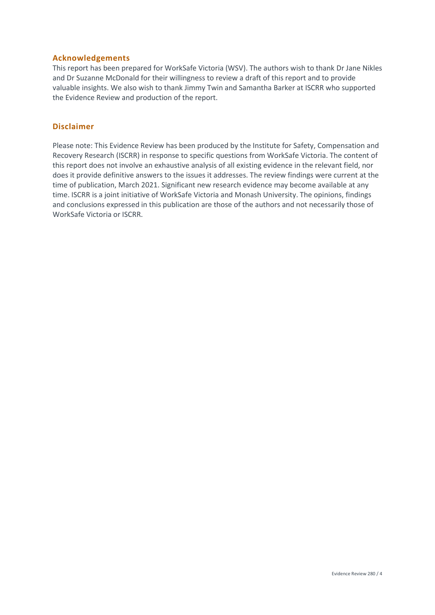#### **Acknowledgements**

This report has been prepared for WorkSafe Victoria (WSV). The authors wish to thank Dr Jane Nikles and Dr Suzanne McDonald for their willingness to review a draft of this report and to provide valuable insights. We also wish to thank Jimmy Twin and Samantha Barker at ISCRR who supported the Evidence Review and production of the report.

#### **Disclaimer**

Please note: This Evidence Review has been produced by the Institute for Safety, Compensation and Recovery Research (ISCRR) in response to specific questions from WorkSafe Victoria. The content of this report does not involve an exhaustive analysis of all existing evidence in the relevant field, nor does it provide definitive answers to the issues it addresses. The review findings were current at the time of publication, March 2021. Significant new research evidence may become available at any time. ISCRR is a joint initiative of WorkSafe Victoria and Monash University. The opinions, findings and conclusions expressed in this publication are those of the authors and not necessarily those of WorkSafe Victoria or ISCRR.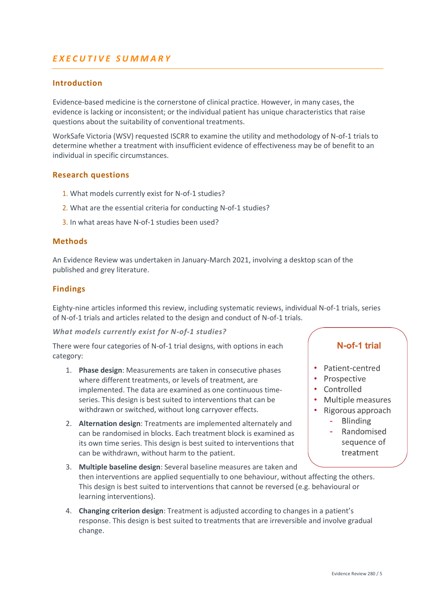# *E X E C U T I V E S U M M A R Y*

#### **Introduction**

Evidence-based medicine is the cornerstone of clinical practice. However, in many cases, the evidence is lacking or inconsistent; or the individual patient has unique characteristics that raise questions about the suitability of conventional treatments.

WorkSafe Victoria (WSV) requested ISCRR to examine the utility and methodology of N-of-1 trials to determine whether a treatment with insufficient evidence of effectiveness may be of benefit to an individual in specific circumstances.

#### **Research questions**

- 1. What models currently exist for N-of-1 studies?
- 2. What are the essential criteria for conducting N-of-1 studies?
- 3. In what areas have N-of-1 studies been used?

#### **Methods**

An Evidence Review was undertaken in January-March 2021, involving a desktop scan of the published and grey literature.

#### **Findings**

Eighty-nine articles informed this review, including systematic reviews, individual N-of-1 trials, series of N-of-1 trials and articles related to the design and conduct of N-of-1 trials.

#### *What models currently exist for N-of-1 studies?*

There were four categories of N-of-1 trial designs, with options in each category:

- 1. **Phase design**: Measurements are taken in consecutive phases where different treatments, or levels of treatment, are implemented. The data are examined as one continuous timeseries. This design is best suited to interventions that can be withdrawn or switched, without long carryover effects.
- 2. **Alternation design**: Treatments are implemented alternately and can be randomised in blocks. Each treatment block is examined as its own time series. This design is best suited to interventions that can be withdrawn, without harm to the patient.

# N-of-1 trial

- Patient-centred
- Prospective
- Controlled
- Multiple measures
- Rigorous approach
	- **Blinding**
	- Randomised sequence of treatment
- 3. **Multiple baseline design**: Several baseline measures are taken and then interventions are applied sequentially to one behaviour, without affecting the others. This design is best suited to interventions that cannot be reversed (e.g. behavioural or learning interventions).
- 4. **Changing criterion design**: Treatment is adjusted according to changes in a patient's response. This design is best suited to treatments that are irreversible and involve gradual change.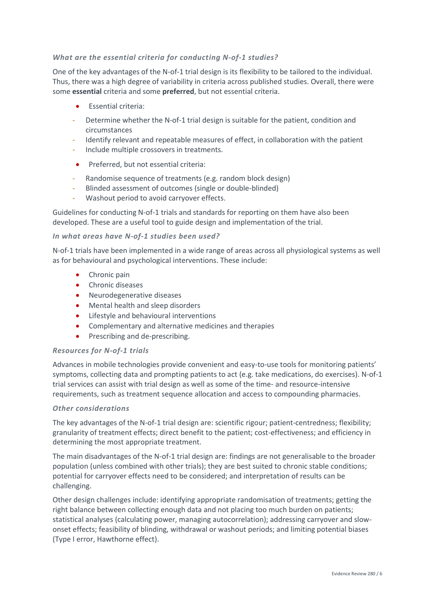#### *What are the essential criteria for conducting N-of-1 studies?*

One of the key advantages of the N-of-1 trial design is its flexibility to be tailored to the individual. Thus, there was a high degree of variability in criteria across published studies. Overall, there were some **essential** criteria and some **preferred**, but not essential criteria.

- Essential criteria:
- Determine whether the N-of-1 trial design is suitable for the patient, condition and circumstances
- Identify relevant and repeatable measures of effect, in collaboration with the patient
- Include multiple crossovers in treatments.
- Preferred, but not essential criteria:
- Randomise sequence of treatments (e.g. random block design)
- Blinded assessment of outcomes (single or double-blinded)
- Washout period to avoid carryover effects.

Guidelines for conducting N-of-1 trials and standards for reporting on them have also been developed. These are a useful tool to guide design and implementation of the trial.

#### *In what areas have N-of-1 studies been used?*

N-of-1 trials have been implemented in a wide range of areas across all physiological systems as well as for behavioural and psychological interventions. These include:

- Chronic pain
- Chronic diseases
- Neurodegenerative diseases
- Mental health and sleep disorders
- Lifestyle and behavioural interventions
- Complementary and alternative medicines and therapies
- Prescribing and de-prescribing.

#### *Resources for N-of-1 trials*

Advances in mobile technologies provide convenient and easy-to-use tools for monitoring patients' symptoms, collecting data and prompting patients to act (e.g. take medications, do exercises). N-of-1 trial services can assist with trial design as well as some of the time- and resource-intensive requirements, such as treatment sequence allocation and access to compounding pharmacies.

#### *Other considerations*

The key advantages of the N-of-1 trial design are: scientific rigour; patient-centredness; flexibility; granularity of treatment effects; direct benefit to the patient; cost-effectiveness; and efficiency in determining the most appropriate treatment.

The main disadvantages of the N-of-1 trial design are: findings are not generalisable to the broader population (unless combined with other trials); they are best suited to chronic stable conditions; potential for carryover effects need to be considered; and interpretation of results can be challenging.

Other design challenges include: identifying appropriate randomisation of treatments; getting the right balance between collecting enough data and not placing too much burden on patients; statistical analyses (calculating power, managing autocorrelation); addressing carryover and slowonset effects; feasibility of blinding, withdrawal or washout periods; and limiting potential biases (Type I error, Hawthorne effect).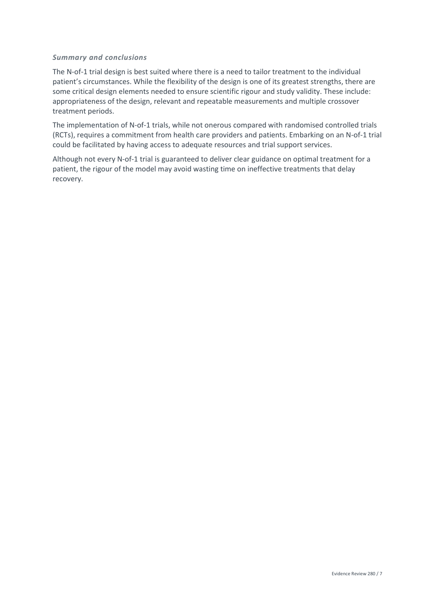#### *Summary and conclusions*

The N-of-1 trial design is best suited where there is a need to tailor treatment to the individual patient's circumstances. While the flexibility of the design is one of its greatest strengths, there are some critical design elements needed to ensure scientific rigour and study validity. These include: appropriateness of the design, relevant and repeatable measurements and multiple crossover treatment periods.

The implementation of N-of-1 trials, while not onerous compared with randomised controlled trials (RCTs), requires a commitment from health care providers and patients. Embarking on an N-of-1 trial could be facilitated by having access to adequate resources and trial support services.

Although not every N-of-1 trial is guaranteed to deliver clear guidance on optimal treatment for a patient, the rigour of the model may avoid wasting time on ineffective treatments that delay recovery.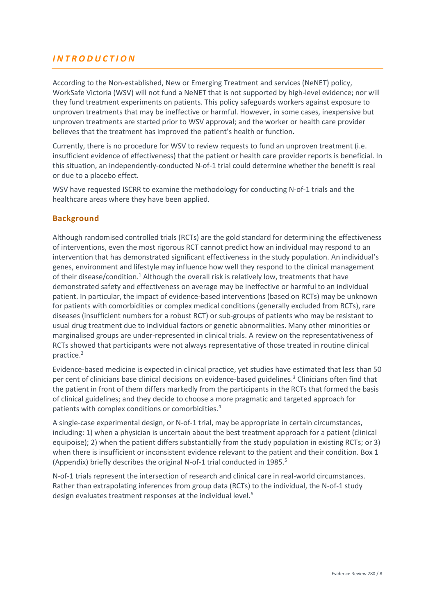# *I N T R O D U C T I O N*

According to the Non-established, New or Emerging Treatment and services (NeNET) policy, WorkSafe Victoria (WSV) will not fund a NeNET that is not supported by high-level evidence; nor will they fund treatment experiments on patients. This policy safeguards workers against exposure to unproven treatments that may be ineffective or harmful. However, in some cases, inexpensive but unproven treatments are started prior to WSV approval; and the worker or health care provider believes that the treatment has improved the patient's health or function.

Currently, there is no procedure for WSV to review requests to fund an unproven treatment (i.e. insufficient evidence of effectiveness) that the patient or health care provider reports is beneficial. In this situation, an independently-conducted N-of-1 trial could determine whether the benefit is real or due to a placebo effect.

WSV have requested ISCRR to examine the methodology for conducting N-of-1 trials and the healthcare areas where they have been applied.

#### **Background**

Although randomised controlled trials (RCTs) are the gold standard for determining the effectiveness of interventions, even the most rigorous RCT cannot predict how an individual may respond to an intervention that has demonstrated significant effectiveness in the study population. An individual's genes, environment and lifestyle may influence how well they respond to the clinical management of their disease/condition.<sup>1</sup> Although the overall risk is relatively low, treatments that have demonstrated safety and effectiveness on average may be ineffective or harmful to an individual patient. In particular, the impact of evidence-based interventions (based on RCTs) may be unknown for patients with comorbidities or complex medical conditions (generally excluded from RCTs), rare diseases (insufficient numbers for a robust RCT) or sub-groups of patients who may be resistant to usual drug treatment due to individual factors or genetic abnormalities. Many other minorities or marginalised groups are under-represented in clinical trials. A review on the representativeness of RCTs showed that participants were not always representative of those treated in routine clinical practice.<sup>2</sup>

Evidence-based medicine is expected in clinical practice, yet studies have estimated that less than 50 per cent of clinicians base clinical decisions on evidence-based guidelines.<sup>3</sup> Clinicians often find that the patient in front of them differs markedly from the participants in the RCTs that formed the basis of clinical guidelines; and they decide to choose a more pragmatic and targeted approach for patients with complex conditions or comorbidities.<sup>4</sup>

A single-case experimental design, or N-of-1 trial, may be appropriate in certain circumstances, including: 1) when a physician is uncertain about the best treatment approach for a patient (clinical equipoise); 2) when the patient differs substantially from the study population in existing RCTs; or 3) when there is insufficient or inconsistent evidence relevant to the patient and their condition[. Box 1](#page-56-0) (Appendix) briefly describes the original N-of-1 trial conducted in 1985.<sup>5</sup>

N-of-1 trials represent the intersection of research and clinical care in real-world circumstances. Rather than extrapolating inferences from group data (RCTs) to the individual, the N-of-1 study design evaluates treatment responses at the individual level.<sup>6</sup>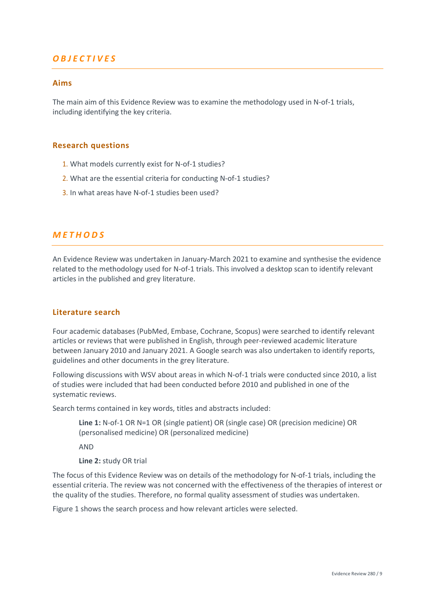# *O B J E C T I V E S*

#### **Aims**

The main aim of this Evidence Review was to examine the methodology used in N-of-1 trials, including identifying the key criteria.

#### **Research questions**

- 1. What models currently exist for N-of-1 studies?
- 2. What are the essential criteria for conducting N-of-1 studies?
- 3. In what areas have N-of-1 studies been used?

# *M E T H O D S*

An Evidence Review was undertaken in January-March 2021 to examine and synthesise the evidence related to the methodology used for N-of-1 trials. This involved a desktop scan to identify relevant articles in the published and grey literature.

#### **Literature search**

Four academic databases (PubMed, Embase, Cochrane, Scopus) were searched to identify relevant articles or reviews that were published in English, through peer-reviewed academic literature between January 2010 and January 2021. A Google search was also undertaken to identify reports, guidelines and other documents in the grey literature.

Following discussions with WSV about areas in which N-of-1 trials were conducted since 2010, a list of studies were included that had been conducted before 2010 and published in one of the systematic reviews.

Search terms contained in key words, titles and abstracts included:

Line 1: N-of-1 OR N=1 OR (single patient) OR (single case) OR (precision medicine) OR (personalised medicine) OR (personalized medicine)

AND

**Line 2:** study OR trial

The focus of this Evidence Review was on details of the methodology for N-of-1 trials, including the essential criteria. The review was not concerned with the effectiveness of the therapies of interest or the quality of the studies. Therefore, no formal quality assessment of studies was undertaken.

[Figure 1](#page-9-0) shows the search process and how relevant articles were selected.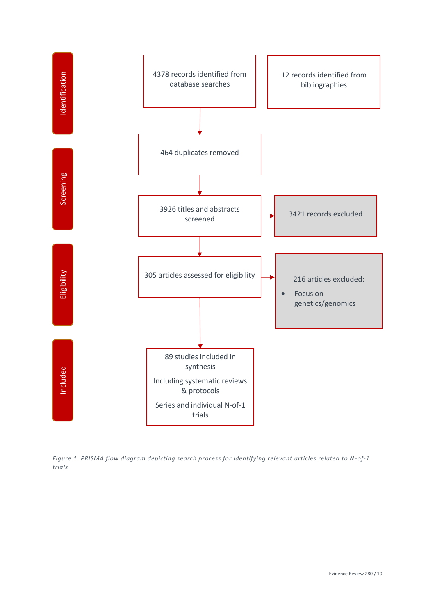

<span id="page-9-0"></span>*Figure 1. PRISMA flow diagram depicting search process for identifying relevant articles related to N-of-1 trials*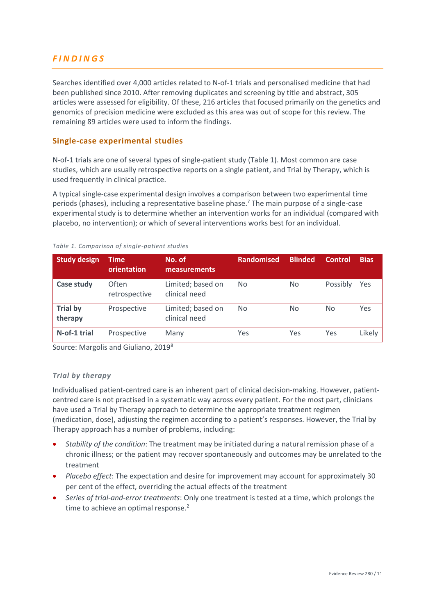# *F I N D I N G S*

Searches identified over 4,000 articles related to N-of-1 trials and personalised medicine that had been published since 2010. After removing duplicates and screening by title and abstract, 305 articles were assessed for eligibility. Of these, 216 articles that focused primarily on the genetics and genomics of precision medicine were excluded as this area was out of scope for this review. The remaining 89 articles were used to inform the findings.

#### **Single-case experimental studies**

N-of-1 trials are one of several types of single-patient study [\(Table 1\)](#page-10-0). Most common are case studies, which are usually retrospective reports on a single patient, and Trial by Therapy, which is used frequently in clinical practice.

A typical single-case experimental design involves a comparison between two experimental time periods (phases), including a representative baseline phase.<sup>7</sup> The main purpose of a single-case experimental study is to determine whether an intervention works for an individual (compared with placebo, no intervention); or which of several interventions works best for an individual.

| <b>Study design</b>        | Time<br>orientation    | No. of<br>measurements             | <b>Randomised</b> | <b>Blinded</b> | <b>Control</b> | <b>Bias</b> |
|----------------------------|------------------------|------------------------------------|-------------------|----------------|----------------|-------------|
| Case study                 | Often<br>retrospective | Limited; based on<br>clinical need | No.               | <b>No</b>      | Possibly       | Yes         |
| <b>Trial by</b><br>therapy | Prospective            | Limited; based on<br>clinical need | No.               | N <sub>o</sub> | <b>No</b>      | Yes         |
| N-of-1 trial               | Prospective            | Many                               | Yes               | Yes            | Yes            | Likely      |

#### <span id="page-10-0"></span>*Table 1. Comparison of single-patient studies*

Source: Margolis and Giuliano, 2019<sup>8</sup>

#### *Trial by therapy*

Individualised patient-centred care is an inherent part of clinical decision-making. However, patientcentred care is not practised in a systematic way across every patient. For the most part, clinicians have used a Trial by Therapy approach to determine the appropriate treatment regimen (medication, dose), adjusting the regimen according to a patient's responses. However, the Trial by Therapy approach has a number of problems, including:

- *Stability of the condition*: The treatment may be initiated during a natural remission phase of a chronic illness; or the patient may recover spontaneously and outcomes may be unrelated to the treatment
- *Placebo effect*: The expectation and desire for improvement may account for approximately 30 per cent of the effect, overriding the actual effects of the treatment
- *Series of trial-and-error treatments*: Only one treatment is tested at a time, which prolongs the time to achieve an optimal response.<sup>2</sup>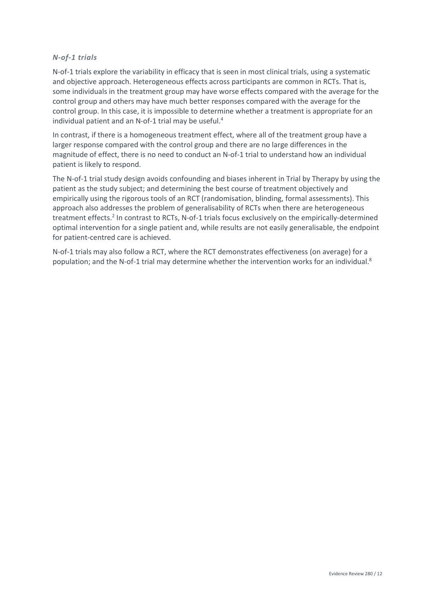#### *N-of-1 trials*

N-of-1 trials explore the variability in efficacy that is seen in most clinical trials, using a systematic and objective approach. Heterogeneous effects across participants are common in RCTs. That is, some individuals in the treatment group may have worse effects compared with the average for the control group and others may have much better responses compared with the average for the control group. In this case, it is impossible to determine whether a treatment is appropriate for an individual patient and an N-of-1 trial may be useful. $4$ 

In contrast, if there is a homogeneous treatment effect, where all of the treatment group have a larger response compared with the control group and there are no large differences in the magnitude of effect, there is no need to conduct an N-of-1 trial to understand how an individual patient is likely to respond.

The N-of-1 trial study design avoids confounding and biases inherent in Trial by Therapy by using the patient as the study subject; and determining the best course of treatment objectively and empirically using the rigorous tools of an RCT (randomisation, blinding, formal assessments). This approach also addresses the problem of generalisability of RCTs when there are heterogeneous treatment effects.<sup>2</sup> In contrast to RCTs, N-of-1 trials focus exclusively on the empirically-determined optimal intervention for a single patient and, while results are not easily generalisable, the endpoint for patient-centred care is achieved.

N-of-1 trials may also follow a RCT, where the RCT demonstrates effectiveness (on average) for a population; and the N-of-1 trial may determine whether the intervention works for an individual.<sup>8</sup>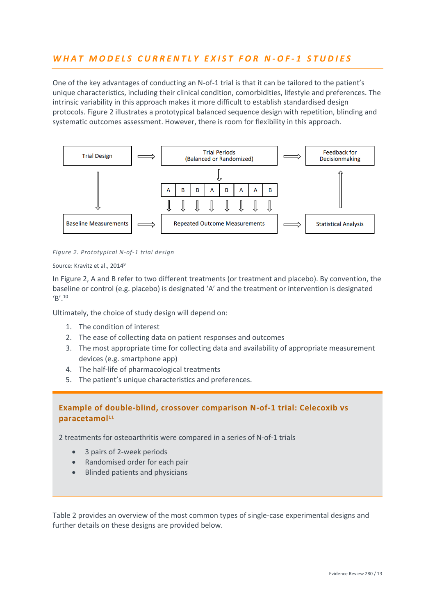# *W H A T M O D E L S C U R R E N T L Y E X I S T F O R N - O F - 1 S T U D I E S*

One of the key advantages of conducting an N-of-1 trial is that it can be tailored to the patient's unique characteristics, including their clinical condition, comorbidities, lifestyle and preferences. The intrinsic variability in this approach makes it more difficult to establish standardised design protocols[. Figure 2](#page-12-0) illustrates a prototypical balanced sequence design with repetition, blinding and systematic outcomes assessment. However, there is room for flexibility in this approach.



#### <span id="page-12-0"></span>*Figure 2. Prototypical N-of-1 trial design*

#### Source: Kravitz et al., 2014<sup>9</sup>

In [Figure 2,](#page-12-0) A and B refer to two different treatments (or treatment and placebo). By convention, the baseline or control (e.g. placebo) is designated 'A' and the treatment or intervention is designated  $'B'.^{10}$ 

Ultimately, the choice of study design will depend on:

- 1. The condition of interest
- 2. The ease of collecting data on patient responses and outcomes
- 3. The most appropriate time for collecting data and availability of appropriate measurement devices (e.g. smartphone app)
- 4. The half-life of pharmacological treatments
- 5. The patient's unique characteristics and preferences.

# **Example of double-blind, crossover comparison N-of-1 trial: Celecoxib vs paracetamol<sup>11</sup>**

2 treatments for osteoarthritis were compared in a series of N-of-1 trials

- 3 pairs of 2-week periods
- Randomised order for each pair
- Blinded patients and physicians

[Table 2](#page-13-0) provides an overview of the most common types of single-case experimental designs and further details on these designs are provided below.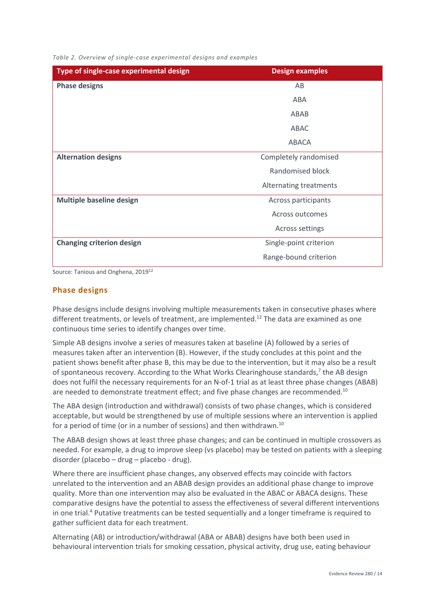<span id="page-13-0"></span>*Table 2. Overview of single-case experimental designs and examples*

| Type of single-case experimental design | <b>Design examples</b> |
|-----------------------------------------|------------------------|
| <b>Phase designs</b>                    | AB                     |
|                                         | ABA                    |
|                                         | ABAB                   |
|                                         | ABAC                   |
|                                         | ABACA                  |
| <b>Alternation designs</b>              | Completely randomised  |
|                                         | Randomised block       |
|                                         | Alternating treatments |
| <b>Multiple baseline design</b>         | Across participants    |
|                                         | Across outcomes        |
|                                         | Across settings        |
| <b>Changing criterion design</b>        | Single-point criterion |
|                                         | Range-bound criterion  |

Source: Tanious and Onghena, 2019<sup>12</sup>

#### **Phase designs**

Phase designs include designs involving multiple measurements taken in consecutive phases where different treatments, or levels of treatment, are implemented.<sup>12</sup> The data are examined as one continuous time series to identify changes over time.

Simple AB designs involve a series of measures taken at baseline (A) followed by a series of measures taken after an intervention (B). However, if the study concludes at this point and the patient shows benefit after phase B, this may be due to the intervention, but it may also be a result of spontaneous recovery. According to the What Works Clearinghouse standards,<sup>7</sup> the AB design does not fulfil the necessary requirements for an N-of-1 trial as at least three phase changes (ABAB) are needed to demonstrate treatment effect; and five phase changes are recommended.<sup>10</sup>

The ABA design (introduction and withdrawal) consists of two phase changes, which is considered acceptable, but would be strengthened by use of multiple sessions where an intervention is applied for a period of time (or in a number of sessions) and then withdrawn.<sup>10</sup>

The ABAB design shows at least three phase changes; and can be continued in multiple crossovers as needed. For example, a drug to improve sleep (vs placebo) may be tested on patients with a sleeping disorder (placebo – drug – placebo - drug).

Where there are insufficient phase changes, any observed effects may coincide with factors unrelated to the intervention and an ABAB design provides an additional phase change to improve quality. More than one intervention may also be evaluated in the ABAC or ABACA designs. These comparative designs have the potential to assess the effectiveness of several different interventions in one trial. <sup>4</sup> Putative treatments can be tested sequentially and a longer timeframe is required to gather sufficient data for each treatment.

Alternating (AB) or introduction/withdrawal (ABA or ABAB) designs have both been used in behavioural intervention trials for smoking cessation, physical activity, drug use, eating behaviour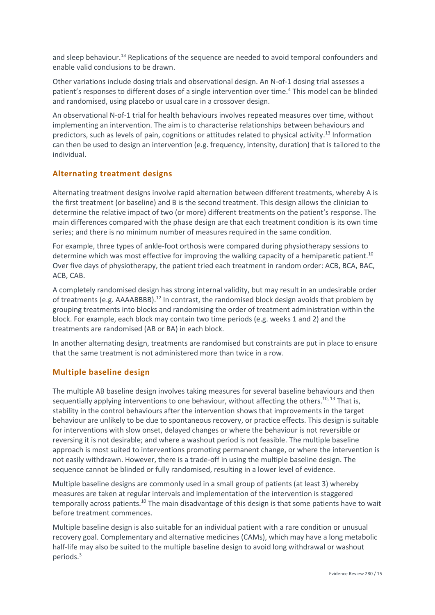and sleep behaviour.<sup>13</sup> Replications of the sequence are needed to avoid temporal confounders and enable valid conclusions to be drawn.

Other variations include dosing trials and observational design. An N-of-1 dosing trial assesses a patient's responses to different doses of a single intervention over time.<sup>4</sup> This model can be blinded and randomised, using placebo or usual care in a crossover design.

An observational N-of-1 trial for health behaviours involves repeated measures over time, without implementing an intervention. The aim is to characterise relationships between behaviours and predictors, such as levels of pain, cognitions or attitudes related to physical activity.<sup>13</sup> Information can then be used to design an intervention (e.g. frequency, intensity, duration) that is tailored to the individual.

# **Alternating treatment designs**

Alternating treatment designs involve rapid alternation between different treatments, whereby A is the first treatment (or baseline) and B is the second treatment. This design allows the clinician to determine the relative impact of two (or more) different treatments on the patient's response. The main differences compared with the phase design are that each treatment condition is its own time series; and there is no minimum number of measures required in the same condition.

For example, three types of ankle-foot orthosis were compared during physiotherapy sessions to determine which was most effective for improving the walking capacity of a hemiparetic patient.<sup>10</sup> Over five days of physiotherapy, the patient tried each treatment in random order: ACB, BCA, BAC, ACB, CAB.

A completely randomised design has strong internal validity, but may result in an undesirable order of treatments (e.g. AAAABBBB).<sup>12</sup> In contrast, the randomised block design avoids that problem by grouping treatments into blocks and randomising the order of treatment administration within the block. For example, each block may contain two time periods (e.g. weeks 1 and 2) and the treatments are randomised (AB or BA) in each block.

In another alternating design, treatments are randomised but constraints are put in place to ensure that the same treatment is not administered more than twice in a row.

#### **Multiple baseline design**

The multiple AB baseline design involves taking measures for several baseline behaviours and then sequentially applying interventions to one behaviour, without affecting the others.<sup>10, 13</sup> That is, stability in the control behaviours after the intervention shows that improvements in the target behaviour are unlikely to be due to spontaneous recovery, or practice effects. This design is suitable for interventions with slow onset, delayed changes or where the behaviour is not reversible or reversing it is not desirable; and where a washout period is not feasible. The multiple baseline approach is most suited to interventions promoting permanent change, or where the intervention is not easily withdrawn. However, there is a trade-off in using the multiple baseline design. The sequence cannot be blinded or fully randomised, resulting in a lower level of evidence.

Multiple baseline designs are commonly used in a small group of patients (at least 3) whereby measures are taken at regular intervals and implementation of the intervention is staggered temporally across patients.<sup>10</sup> The main disadvantage of this design is that some patients have to wait before treatment commences.

Multiple baseline design is also suitable for an individual patient with a rare condition or unusual recovery goal. Complementary and alternative medicines (CAMs), which may have a long metabolic half-life may also be suited to the multiple baseline design to avoid long withdrawal or washout periods.3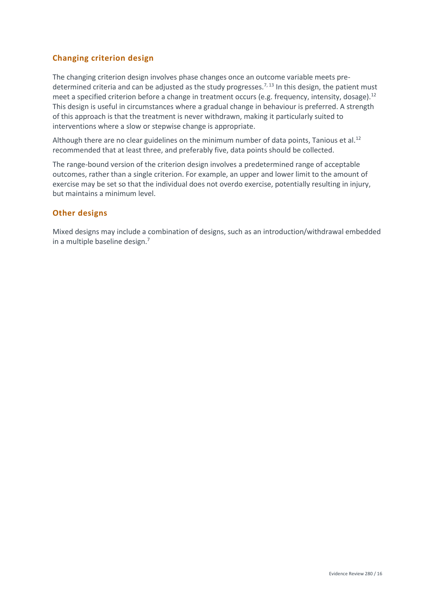# **Changing criterion design**

The changing criterion design involves phase changes once an outcome variable meets predetermined criteria and can be adjusted as the study progresses.<sup>7, 13</sup> In this design, the patient must meet a specified criterion before a change in treatment occurs (e.g. frequency, intensity, dosage).<sup>12</sup> This design is useful in circumstances where a gradual change in behaviour is preferred. A strength of this approach is that the treatment is never withdrawn, making it particularly suited to interventions where a slow or stepwise change is appropriate.

Although there are no clear guidelines on the minimum number of data points, Tanious et al.<sup>12</sup> recommended that at least three, and preferably five, data points should be collected.

The range-bound version of the criterion design involves a predetermined range of acceptable outcomes, rather than a single criterion. For example, an upper and lower limit to the amount of exercise may be set so that the individual does not overdo exercise, potentially resulting in injury, but maintains a minimum level.

# **Other designs**

Mixed designs may include a combination of designs, such as an introduction/withdrawal embedded in a multiple baseline design.<sup>7</sup>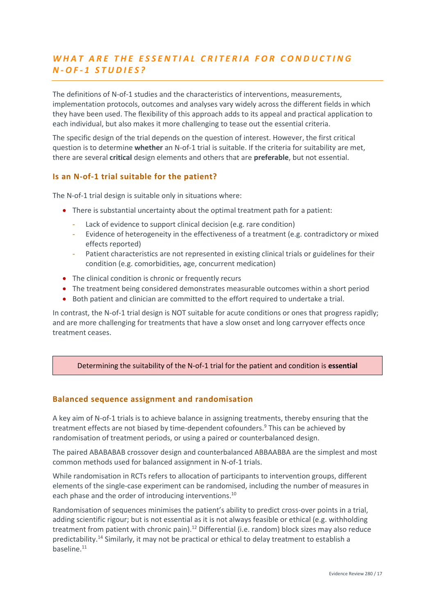# *W H A T A R E T H E E S S E N T I A L C R I T E R I A F O R C O N D U C T I N G N - O F - 1 S T U D I E S ?*

The definitions of N-of-1 studies and the characteristics of interventions, measurements, implementation protocols, outcomes and analyses vary widely across the different fields in which they have been used. The flexibility of this approach adds to its appeal and practical application to each individual, but also makes it more challenging to tease out the essential criteria.

The specific design of the trial depends on the question of interest. However, the first critical question is to determine **whether** an N-of-1 trial is suitable. If the criteria for suitability are met, there are several **critical** design elements and others that are **preferable**, but not essential.

#### **Is an N-of-1 trial suitable for the patient?**

The N-of-1 trial design is suitable only in situations where:

- There is substantial uncertainty about the optimal treatment path for a patient:
	- Lack of evidence to support clinical decision (e.g. rare condition)
	- Evidence of heterogeneity in the effectiveness of a treatment (e.g. contradictory or mixed effects reported)
	- Patient characteristics are not represented in existing clinical trials or guidelines for their condition (e.g. comorbidities, age, concurrent medication)
- The clinical condition is chronic or frequently recurs
- The treatment being considered demonstrates measurable outcomes within a short period
- Both patient and clinician are committed to the effort required to undertake a trial.

In contrast, the N-of-1 trial design is NOT suitable for acute conditions or ones that progress rapidly; and are more challenging for treatments that have a slow onset and long carryover effects once treatment ceases.

#### Determining the suitability of the N-of-1 trial for the patient and condition is **essential**

#### **Balanced sequence assignment and randomisation**

A key aim of N-of-1 trials is to achieve balance in assigning treatments, thereby ensuring that the treatment effects are not biased by time-dependent cofounders.<sup>9</sup> This can be achieved by randomisation of treatment periods, or using a paired or counterbalanced design.

The paired ABABABAB crossover design and counterbalanced ABBAABBA are the simplest and most common methods used for balanced assignment in N-of-1 trials.

While randomisation in RCTs refers to allocation of participants to intervention groups, different elements of the single-case experiment can be randomised, including the number of measures in each phase and the order of introducing interventions.<sup>10</sup>

Randomisation of sequences minimises the patient's ability to predict cross-over points in a trial, adding scientific rigour; but is not essential as it is not always feasible or ethical (e.g. withholding treatment from patient with chronic pain).<sup>12</sup> Differential (i.e. random) block sizes may also reduce predictability.<sup>14</sup> Similarly, it may not be practical or ethical to delay treatment to establish a baseline.11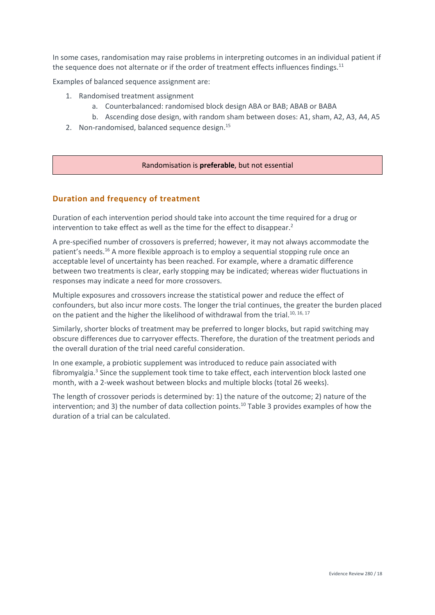In some cases, randomisation may raise problems in interpreting outcomes in an individual patient if the sequence does not alternate or if the order of treatment effects influences findings.<sup>11</sup>

Examples of balanced sequence assignment are:

- 1. Randomised treatment assignment
	- a. Counterbalanced: randomised block design ABA or BAB; ABAB or BABA
	- b. Ascending dose design, with random sham between doses: A1, sham, A2, A3, A4, A5
- 2. Non-randomised, balanced sequence design. 15

#### Randomisation is **preferable**, but not essential

#### **Duration and frequency of treatment**

Duration of each intervention period should take into account the time required for a drug or intervention to take effect as well as the time for the effect to disappear.<sup>2</sup>

A pre-specified number of crossovers is preferred; however, it may not always accommodate the patient's needs.<sup>16</sup> A more flexible approach is to employ a sequential stopping rule once an acceptable level of uncertainty has been reached. For example, where a dramatic difference between two treatments is clear, early stopping may be indicated; whereas wider fluctuations in responses may indicate a need for more crossovers.

Multiple exposures and crossovers increase the statistical power and reduce the effect of confounders, but also incur more costs. The longer the trial continues, the greater the burden placed on the patient and the higher the likelihood of withdrawal from the trial.<sup>10, 16, 17</sup>

Similarly, shorter blocks of treatment may be preferred to longer blocks, but rapid switching may obscure differences due to carryover effects. Therefore, the duration of the treatment periods and the overall duration of the trial need careful consideration.

In one example, a probiotic supplement was introduced to reduce pain associated with fibromyalgia. 3 Since the supplement took time to take effect, each intervention block lasted one month, with a 2-week washout between blocks and multiple blocks (total 26 weeks).

The length of crossover periods is determined by: 1) the nature of the outcome; 2) nature of the intervention; and 3) the number of data collection points.<sup>10</sup> [Table 3](#page-18-0) provides examples of how the duration of a trial can be calculated.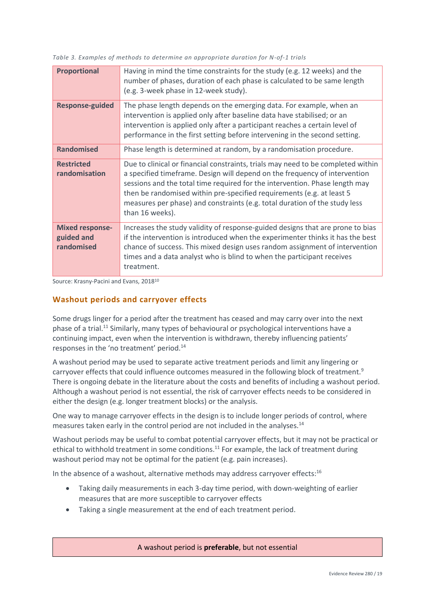<span id="page-18-0"></span>

| <b>Proportional</b>                                | Having in mind the time constraints for the study (e.g. 12 weeks) and the<br>number of phases, duration of each phase is calculated to be same length<br>(e.g. 3-week phase in 12-week study).                                                                                                                                                                                                                          |
|----------------------------------------------------|-------------------------------------------------------------------------------------------------------------------------------------------------------------------------------------------------------------------------------------------------------------------------------------------------------------------------------------------------------------------------------------------------------------------------|
| <b>Response-guided</b>                             | The phase length depends on the emerging data. For example, when an<br>intervention is applied only after baseline data have stabilised; or an<br>intervention is applied only after a participant reaches a certain level of<br>performance in the first setting before intervening in the second setting.                                                                                                             |
| <b>Randomised</b>                                  | Phase length is determined at random, by a randomisation procedure.                                                                                                                                                                                                                                                                                                                                                     |
| <b>Restricted</b><br>randomisation                 | Due to clinical or financial constraints, trials may need to be completed within<br>a specified timeframe. Design will depend on the frequency of intervention<br>sessions and the total time required for the intervention. Phase length may<br>then be randomised within pre-specified requirements (e.g. at least 5<br>measures per phase) and constraints (e.g. total duration of the study less<br>than 16 weeks). |
| <b>Mixed response-</b><br>guided and<br>randomised | Increases the study validity of response-guided designs that are prone to bias<br>if the intervention is introduced when the experimenter thinks it has the best<br>chance of success. This mixed design uses random assignment of intervention<br>times and a data analyst who is blind to when the participant receives<br>treatment.                                                                                 |

Source: Krasny-Pacini and Evans, 2018<sup>10</sup>

# **Washout periods and carryover effects**

Some drugs linger for a period after the treatment has ceased and may carry over into the next phase of a trial.<sup>11</sup> Similarly, many types of behavioural or psychological interventions have a continuing impact, even when the intervention is withdrawn, thereby influencing patients' responses in the 'no treatment' period.<sup>14</sup>

A washout period may be used to separate active treatment periods and limit any lingering or carryover effects that could influence outcomes measured in the following block of treatment.<sup>9</sup> There is ongoing debate in the literature about the costs and benefits of including a washout period. Although a washout period is not essential, the risk of carryover effects needs to be considered in either the design (e.g. longer treatment blocks) or the analysis.

One way to manage carryover effects in the design is to include longer periods of control, where measures taken early in the control period are not included in the analyses.<sup>14</sup>

Washout periods may be useful to combat potential carryover effects, but it may not be practical or ethical to withhold treatment in some conditions.<sup>11</sup> For example, the lack of treatment during washout period may not be optimal for the patient (e.g. pain increases).

In the absence of a washout, alternative methods may address carryover effects:<sup>16</sup>

- Taking daily measurements in each 3-day time period, with down-weighting of earlier measures that are more susceptible to carryover effects
- Taking a single measurement at the end of each treatment period.

#### A washout period is **preferable**, but not essential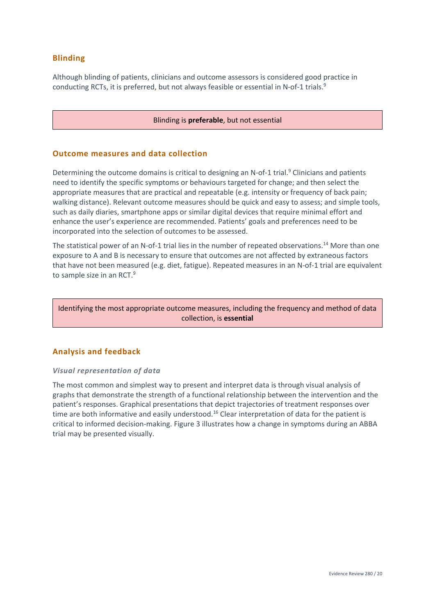#### **Blinding**

Although blinding of patients, clinicians and outcome assessors is considered good practice in conducting RCTs, it is preferred, but not always feasible or essential in N-of-1 trials.<sup>9</sup>

#### Blinding is **preferable**, but not essential

#### **Outcome measures and data collection**

Determining the outcome domains is critical to designing an N-of-1 trial.<sup>9</sup> Clinicians and patients need to identify the specific symptoms or behaviours targeted for change; and then select the appropriate measures that are practical and repeatable (e.g. intensity or frequency of back pain; walking distance). Relevant outcome measures should be quick and easy to assess; and simple tools, such as daily diaries, smartphone apps or similar digital devices that require minimal effort and enhance the user's experience are recommended. Patients' goals and preferences need to be incorporated into the selection of outcomes to be assessed.

The statistical power of an N-of-1 trial lies in the number of repeated observations.<sup>14</sup> More than one exposure to A and B is necessary to ensure that outcomes are not affected by extraneous factors that have not been measured (e.g. diet, fatigue). Repeated measures in an N-of-1 trial are equivalent to sample size in an RCT.<sup>9</sup>

Identifying the most appropriate outcome measures, including the frequency and method of data collection, is **essential**

#### **Analysis and feedback**

#### *Visual representation of data*

The most common and simplest way to present and interpret data is through visual analysis of graphs that demonstrate the strength of a functional relationship between the intervention and the patient's responses. Graphical presentations that depict trajectories of treatment responses over time are both informative and easily understood.<sup>16</sup> Clear interpretation of data for the patient is critical to informed decision-making. [Figure 3](#page-20-0) illustrates how a change in symptoms during an ABBA trial may be presented visually.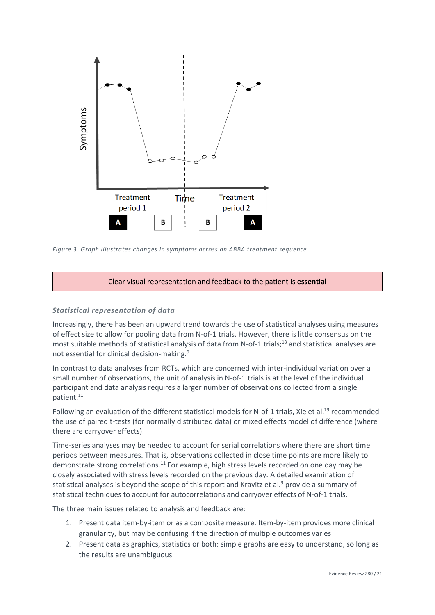

<span id="page-20-0"></span>*Figure 3. Graph illustrates changes in symptoms across an ABBA treatment sequence*

#### Clear visual representation and feedback to the patient is **essential**

#### *Statistical representation of data*

Increasingly, there has been an upward trend towards the use of statistical analyses using measures of effect size to allow for pooling data from N-of-1 trials. However, there is little consensus on the most suitable methods of statistical analysis of data from N-of-1 trials;<sup>18</sup> and statistical analyses are not essential for clinical decision-making.<sup>9</sup>

In contrast to data analyses from RCTs, which are concerned with inter-individual variation over a small number of observations, the unit of analysis in N-of-1 trials is at the level of the individual participant and data analysis requires a larger number of observations collected from a single patient.<sup>11</sup>

Following an evaluation of the different statistical models for N-of-1 trials, Xie et al.<sup>19</sup> recommended the use of paired t-tests (for normally distributed data) or mixed effects model of difference (where there are carryover effects).

Time-series analyses may be needed to account for serial correlations where there are short time periods between measures. That is, observations collected in close time points are more likely to demonstrate strong correlations.<sup>11</sup> For example, high stress levels recorded on one day may be closely associated with stress levels recorded on the previous day. A detailed examination of statistical analyses is beyond the scope of this report and Kravitz et al.<sup>9</sup> provide a summary of statistical techniques to account for autocorrelations and carryover effects of N-of-1 trials.

The three main issues related to analysis and feedback are:

- 1. Present data item-by-item or as a composite measure. Item-by-item provides more clinical granularity, but may be confusing if the direction of multiple outcomes varies
- 2. Present data as graphics, statistics or both: simple graphs are easy to understand, so long as the results are unambiguous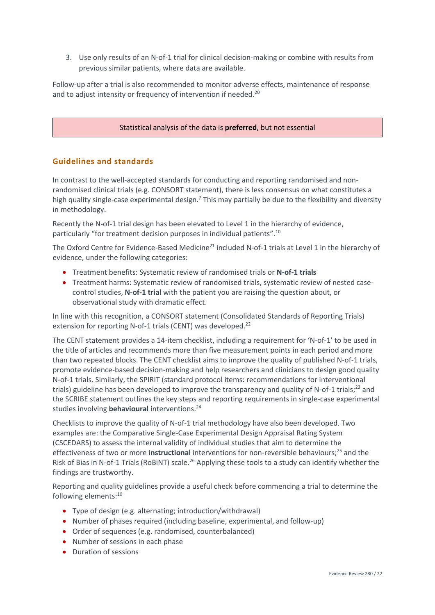3. Use only results of an N-of-1 trial for clinical decision-making or combine with results from previous similar patients, where data are available.

Follow-up after a trial is also recommended to monitor adverse effects, maintenance of response and to adjust intensity or frequency of intervention if needed.<sup>20</sup>

#### Statistical analysis of the data is **preferred**, but not essential

#### **Guidelines and standards**

In contrast to the well-accepted standards for conducting and reporting randomised and nonrandomised clinical trials (e.g. CONSORT statement), there is less consensus on what constitutes a high quality single-case experimental design.<sup>7</sup> This may partially be due to the flexibility and diversity in methodology.

Recently the N-of-1 trial design has been elevated to Level 1 in the hierarchy of evidence, particularly "for treatment decision purposes in individual patients".<sup>10</sup>

The Oxford Centre for Evidence-Based Medicine<sup>21</sup> included N-of-1 trials at Level 1 in the hierarchy of evidence, under the following categories:

- Treatment benefits: Systematic review of randomised trials or **N-of-1 trials**
- Treatment harms: Systematic review of randomised trials, systematic review of nested casecontrol studies, **N-of-1 trial** with the patient you are raising the question about, or observational study with dramatic effect.

In line with this recognition, a CONSORT statement (Consolidated Standards of Reporting Trials) extension for reporting N-of-1 trials (CENT) was developed.<sup>22</sup>

The CENT statement provides a 14-item checklist, including a requirement for 'N-of-1' to be used in the title of articles and recommends more than five measurement points in each period and more than two repeated blocks. The CENT checklist aims to improve the quality of published N-of-1 trials, promote evidence-based decision-making and help researchers and clinicians to design good quality N-of-1 trials. Similarly, the SPIRIT (standard protocol items: recommendations for interventional trials) guideline has been developed to improve the transparency and quality of N-of-1 trials;<sup>23</sup> and the SCRIBE statement outlines the key steps and reporting requirements in single-case experimental studies involving **behavioural** interventions.<sup>24</sup>

Checklists to improve the quality of N-of-1 trial methodology have also been developed. Two examples are: the Comparative Single-Case Experimental Design Appraisal Rating System (CSCEDARS) to assess the internal validity of individual studies that aim to determine the effectiveness of two or more **instructional** interventions for non-reversible behaviours; <sup>25</sup> and the Risk of Bias in N-of-1 Trials (RoBiNT) scale.<sup>26</sup> Applying these tools to a study can identify whether the findings are trustworthy.

Reporting and quality guidelines provide a useful check before commencing a trial to determine the following elements:<sup>10</sup>

- Type of design (e.g. alternating; introduction/withdrawal)
- Number of phases required (including baseline, experimental, and follow-up)
- Order of sequences (e.g. randomised, counterbalanced)
- Number of sessions in each phase
- Duration of sessions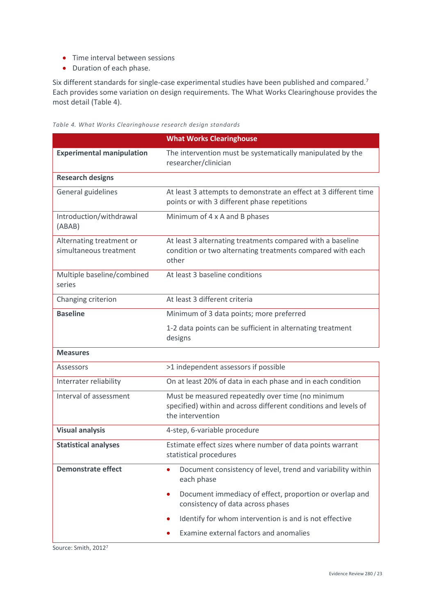- Time interval between sessions
- Duration of each phase.

Six different standards for single-case experimental studies have been published and compared.<sup>7</sup> Each provides some variation on design requirements. The What Works Clearinghouse provides the most detail [\(Table 4\)](#page-22-0).

<span id="page-22-0"></span>

|  | Table 4. What Works Clearinghouse research design standards |  |  |
|--|-------------------------------------------------------------|--|--|
|  |                                                             |  |  |

|                                                    | <b>What Works Clearinghouse</b>                                                                                                          |
|----------------------------------------------------|------------------------------------------------------------------------------------------------------------------------------------------|
| <b>Experimental manipulation</b>                   | The intervention must be systematically manipulated by the<br>researcher/clinician                                                       |
| <b>Research designs</b>                            |                                                                                                                                          |
| General guidelines                                 | At least 3 attempts to demonstrate an effect at 3 different time<br>points or with 3 different phase repetitions                         |
| Introduction/withdrawal<br>(ABAB)                  | Minimum of 4 x A and B phases                                                                                                            |
| Alternating treatment or<br>simultaneous treatment | At least 3 alternating treatments compared with a baseline<br>condition or two alternating treatments compared with each<br>other        |
| Multiple baseline/combined<br>series               | At least 3 baseline conditions                                                                                                           |
| Changing criterion                                 | At least 3 different criteria                                                                                                            |
| <b>Baseline</b>                                    | Minimum of 3 data points; more preferred                                                                                                 |
|                                                    | 1-2 data points can be sufficient in alternating treatment<br>designs                                                                    |
| <b>Measures</b>                                    |                                                                                                                                          |
| Assessors                                          | >1 independent assessors if possible                                                                                                     |
| Interrater reliability                             | On at least 20% of data in each phase and in each condition                                                                              |
| Interval of assessment                             | Must be measured repeatedly over time (no minimum<br>specified) within and across different conditions and levels of<br>the intervention |
| <b>Visual analysis</b>                             | 4-step, 6-variable procedure                                                                                                             |
| <b>Statistical analyses</b>                        | Estimate effect sizes where number of data points warrant<br>statistical procedures                                                      |
| <b>Demonstrate effect</b>                          | Document consistency of level, trend and variability within<br>٠<br>each phase                                                           |
|                                                    | Document immediacy of effect, proportion or overlap and<br>$\bullet$<br>consistency of data across phases                                |
|                                                    | Identify for whom intervention is and is not effective                                                                                   |
|                                                    | Examine external factors and anomalies                                                                                                   |

Source: Smith, 20127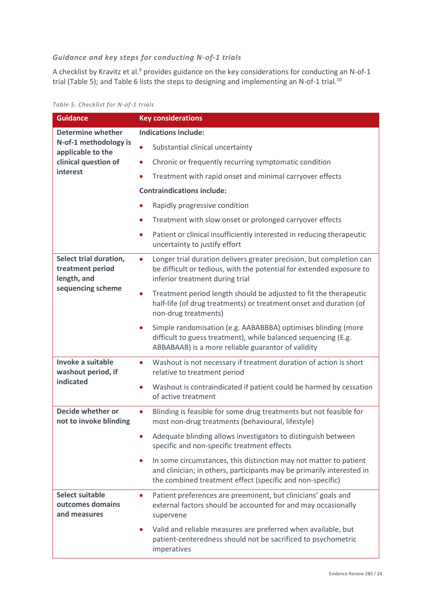# *Guidance and key steps for conducting N-of-1 trials*

A checklist by Kravitz et al.<sup>9</sup> provides guidance on the key considerations for conducting an N-of-1 trial [\(Table 5\)](#page-23-0); and [Table 6](#page-24-0) lists the steps to designing and implementing an N-of-1 trial.<sup>10</sup>

#### <span id="page-23-0"></span>*Table 5. Checklist for N-of-1 trials*

| <b>Guidance</b>                                            | <b>Key considerations</b>                                                                                                                                                                                            |  |  |
|------------------------------------------------------------|----------------------------------------------------------------------------------------------------------------------------------------------------------------------------------------------------------------------|--|--|
| <b>Determine whether</b>                                   | <b>Indications include:</b>                                                                                                                                                                                          |  |  |
| N-of-1 methodology is<br>applicable to the                 | Substantial clinical uncertainty<br>$\bullet$                                                                                                                                                                        |  |  |
| clinical question of                                       | Chronic or frequently recurring symptomatic condition<br>٠                                                                                                                                                           |  |  |
| interest                                                   | Treatment with rapid onset and minimal carryover effects                                                                                                                                                             |  |  |
|                                                            | <b>Contraindications include:</b>                                                                                                                                                                                    |  |  |
|                                                            | Rapidly progressive condition<br>٠                                                                                                                                                                                   |  |  |
|                                                            | Treatment with slow onset or prolonged carryover effects<br>٠                                                                                                                                                        |  |  |
|                                                            | Patient or clinical insufficiently interested in reducing therapeutic<br>٠<br>uncertainty to justify effort                                                                                                          |  |  |
| Select trial duration,<br>treatment period<br>length, and  | Longer trial duration delivers greater precision, but completion can<br>$\bullet$<br>be difficult or tedious, with the potential for extended exposure to<br>inferior treatment during trial                         |  |  |
| sequencing scheme                                          | Treatment period length should be adjusted to fit the therapeutic<br>٠<br>half-life (of drug treatments) or treatment onset and duration (of<br>non-drug treatments)                                                 |  |  |
|                                                            | Simple randomisation (e.g. AABABBBA) optimises blinding (more<br>٠<br>difficult to guess treatment), while balanced sequencing (E.g.<br>ABBABAAB) is a more reliable guarantor of validity                           |  |  |
| Invoke a suitable<br>washout period, if                    | Washout is not necessary if treatment duration of action is short<br>$\bullet$<br>relative to treatment period                                                                                                       |  |  |
| indicated                                                  | Washout is contraindicated if patient could be harmed by cessation<br>٠<br>of active treatment                                                                                                                       |  |  |
| Decide whether or<br>not to invoke blinding                | Blinding is feasible for some drug treatments but not feasible for<br>$\bullet$<br>most non-drug treatments (behavioural, lifestyle)                                                                                 |  |  |
|                                                            | Adequate blinding allows investigators to distinguish between<br>$\bullet$<br>specific and non-specific treatment effects                                                                                            |  |  |
|                                                            | In some circumstances, this distinction may not matter to patient<br>$\bullet$<br>and clinician; in others, participants may be primarily interested in<br>the combined treatment effect (specific and non-specific) |  |  |
| <b>Select suitable</b><br>outcomes domains<br>and measures | Patient preferences are preeminent, but clinicians' goals and<br>$\bullet$<br>external factors should be accounted for and may occasionally<br>supervene                                                             |  |  |
|                                                            | Valid and reliable measures are preferred when available, but<br>٠<br>patient-centeredness should not be sacrificed to psychometric<br>imperatives                                                                   |  |  |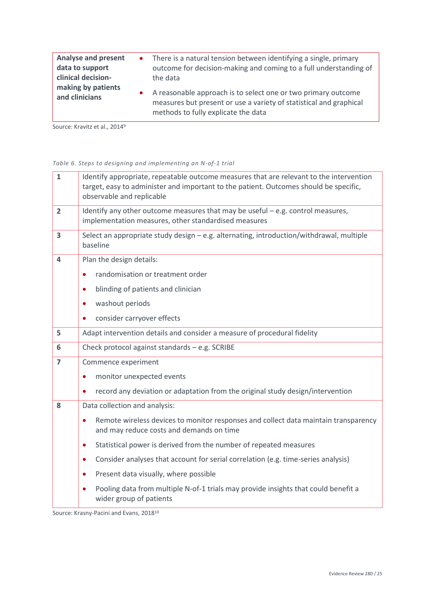| <b>Analyse and present</b><br>data to support<br>clinical decision-<br>making by patients<br>and clinicians | $\bullet$ | There is a natural tension between identifying a single, primary<br>outcome for decision-making and coming to a full understanding of<br>the data                          |
|-------------------------------------------------------------------------------------------------------------|-----------|----------------------------------------------------------------------------------------------------------------------------------------------------------------------------|
|                                                                                                             |           | A reasonable approach is to select one or two primary outcome<br>measures but present or use a variety of statistical and graphical<br>methods to fully explicate the data |

Source: Kravitz et al., 2014<sup>9</sup>

#### <span id="page-24-0"></span>*Table 6. Steps to designing and implementing an N-of-1 trial*

| $\mathbf{1}$   | Identify appropriate, repeatable outcome measures that are relevant to the intervention<br>target, easy to administer and important to the patient. Outcomes should be specific,<br>observable and replicable |  |  |  |  |
|----------------|---------------------------------------------------------------------------------------------------------------------------------------------------------------------------------------------------------------|--|--|--|--|
| $\overline{2}$ | Identify any other outcome measures that may be useful - e.g. control measures,<br>implementation measures, other standardised measures                                                                       |  |  |  |  |
| 3              | Select an appropriate study design - e.g. alternating, introduction/withdrawal, multiple<br>baseline                                                                                                          |  |  |  |  |
| 4              | Plan the design details:                                                                                                                                                                                      |  |  |  |  |
|                | randomisation or treatment order<br>$\bullet$                                                                                                                                                                 |  |  |  |  |
|                | blinding of patients and clinician<br>٠                                                                                                                                                                       |  |  |  |  |
|                | washout periods<br>٠                                                                                                                                                                                          |  |  |  |  |
|                | consider carryover effects<br>٠                                                                                                                                                                               |  |  |  |  |
| 5              | Adapt intervention details and consider a measure of procedural fidelity                                                                                                                                      |  |  |  |  |
| 6              | Check protocol against standards - e.g. SCRIBE                                                                                                                                                                |  |  |  |  |
| $\overline{7}$ | Commence experiment                                                                                                                                                                                           |  |  |  |  |
|                | monitor unexpected events<br>٠                                                                                                                                                                                |  |  |  |  |
|                | record any deviation or adaptation from the original study design/intervention<br>٠                                                                                                                           |  |  |  |  |
| 8              | Data collection and analysis:                                                                                                                                                                                 |  |  |  |  |
|                | Remote wireless devices to monitor responses and collect data maintain transparency<br>٠<br>and may reduce costs and demands on time                                                                          |  |  |  |  |
|                | Statistical power is derived from the number of repeated measures<br>٠                                                                                                                                        |  |  |  |  |
|                | Consider analyses that account for serial correlation (e.g. time-series analysis)<br>٠                                                                                                                        |  |  |  |  |
|                | Present data visually, where possible<br>٠                                                                                                                                                                    |  |  |  |  |
|                | Pooling data from multiple N-of-1 trials may provide insights that could benefit a<br>$\bullet$<br>wider group of patients                                                                                    |  |  |  |  |

Source: Krasny-Pacini and Evans, 201810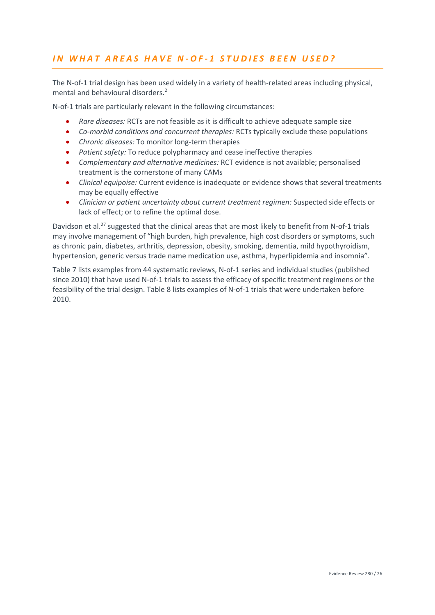# *I N W H A T A R E A S H A V E N - O F - 1 S T U D I E S B E E N U S E D ?*

The N-of-1 trial design has been used widely in a variety of health-related areas including physical, mental and behavioural disorders.<sup>2</sup>

N-of-1 trials are particularly relevant in the following circumstances:

- *Rare diseases:* RCTs are not feasible as it is difficult to achieve adequate sample size
- *Co-morbid conditions and concurrent therapies:* RCTs typically exclude these populations
- *Chronic diseases:* To monitor long-term therapies
- *Patient safety:* To reduce polypharmacy and cease ineffective therapies
- *Complementary and alternative medicines:* RCT evidence is not available; personalised treatment is the cornerstone of many CAMs
- *Clinical equipoise:* Current evidence is inadequate or evidence shows that several treatments may be equally effective
- *Clinician or patient uncertainty about current treatment regimen:* Suspected side effects or lack of effect; or to refine the optimal dose.

Davidson et al.<sup>27</sup> suggested that the clinical areas that are most likely to benefit from N-of-1 trials may involve management of "high burden, high prevalence, high cost disorders or symptoms, such as chronic pain, diabetes, arthritis, depression, obesity, smoking, dementia, mild hypothyroidism, hypertension, generic versus trade name medication use, asthma, hyperlipidemia and insomnia".

[Table 7](#page-26-0) lists examples from 44 systematic reviews, N-of-1 series and individual studies (published since 2010) that have used N-of-1 trials to assess the efficacy of specific treatment regimens or the feasibility of the trial design. [Table 8](#page-36-0) lists examples of N-of-1 trials that were undertaken before 2010.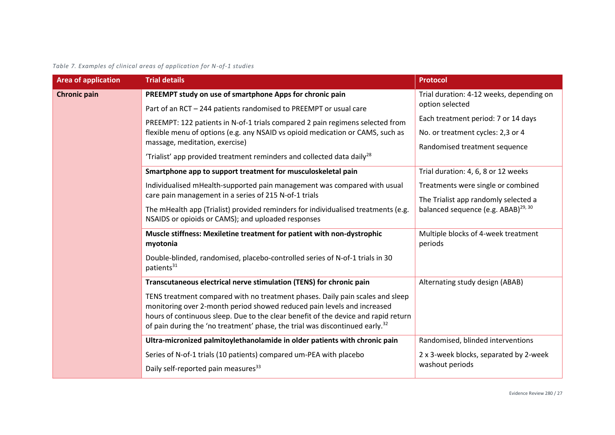|  |  |  |  |  |  |  | Table 7. Examples of clinical areas of application for N-of-1 studies |  |  |  |
|--|--|--|--|--|--|--|-----------------------------------------------------------------------|--|--|--|
|--|--|--|--|--|--|--|-----------------------------------------------------------------------|--|--|--|

<span id="page-26-0"></span>

| <b>Area of application</b> | <b>Trial details</b>                                                                                                                                          | <b>Protocol</b>                                 |
|----------------------------|---------------------------------------------------------------------------------------------------------------------------------------------------------------|-------------------------------------------------|
| <b>Chronic pain</b>        | PREEMPT study on use of smartphone Apps for chronic pain                                                                                                      | Trial duration: 4-12 weeks, depending on        |
|                            | Part of an RCT - 244 patients randomised to PREEMPT or usual care                                                                                             | option selected                                 |
|                            | PREEMPT: 122 patients in N-of-1 trials compared 2 pain regimens selected from                                                                                 | Each treatment period: 7 or 14 days             |
|                            | flexible menu of options (e.g. any NSAID vs opioid medication or CAMS, such as<br>massage, meditation, exercise)                                              | No. or treatment cycles: 2,3 or 4               |
|                            |                                                                                                                                                               | Randomised treatment sequence                   |
|                            | 'Trialist' app provided treatment reminders and collected data daily <sup>28</sup>                                                                            |                                                 |
|                            | Smartphone app to support treatment for musculoskeletal pain                                                                                                  | Trial duration: 4, 6, 8 or 12 weeks             |
|                            | Individualised mHealth-supported pain management was compared with usual                                                                                      | Treatments were single or combined              |
|                            | care pain management in a series of 215 N-of-1 trials                                                                                                         | The Trialist app randomly selected a            |
|                            | The mHealth app (Trialist) provided reminders for individualised treatments (e.g.<br>NSAIDS or opioids or CAMS); and uploaded responses                       | balanced sequence (e.g. ABAB) <sup>29, 30</sup> |
|                            | Muscle stiffness: Mexiletine treatment for patient with non-dystrophic                                                                                        | Multiple blocks of 4-week treatment             |
|                            | myotonia                                                                                                                                                      | periods                                         |
|                            | Double-blinded, randomised, placebo-controlled series of N-of-1 trials in 30<br>patients <sup>31</sup>                                                        |                                                 |
|                            | Transcutaneous electrical nerve stimulation (TENS) for chronic pain                                                                                           | Alternating study design (ABAB)                 |
|                            | TENS treatment compared with no treatment phases. Daily pain scales and sleep                                                                                 |                                                 |
|                            | monitoring over 2-month period showed reduced pain levels and increased<br>hours of continuous sleep. Due to the clear benefit of the device and rapid return |                                                 |
|                            | of pain during the 'no treatment' phase, the trial was discontinued early. <sup>32</sup>                                                                      |                                                 |
|                            | Ultra-micronized palmitoylethanolamide in older patients with chronic pain                                                                                    | Randomised, blinded interventions               |
|                            | Series of N-of-1 trials (10 patients) compared um-PEA with placebo                                                                                            | 2 x 3-week blocks, separated by 2-week          |
|                            | Daily self-reported pain measures <sup>33</sup>                                                                                                               | washout periods                                 |
|                            |                                                                                                                                                               |                                                 |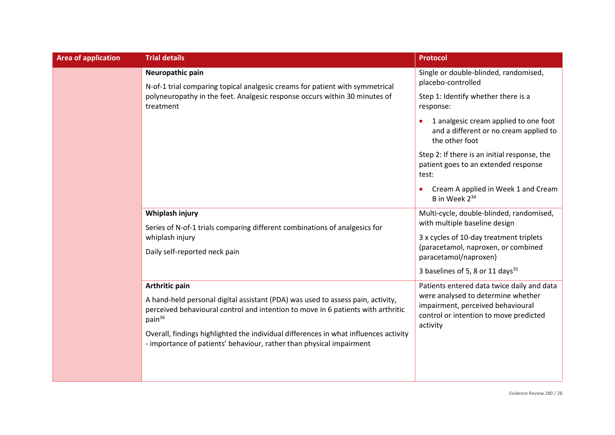| <b>Area of application</b> | <b>Trial details</b>                                                                                                                                                                                                                                                                                                                                                        | <b>Protocol</b>                                                                                                                                                             |
|----------------------------|-----------------------------------------------------------------------------------------------------------------------------------------------------------------------------------------------------------------------------------------------------------------------------------------------------------------------------------------------------------------------------|-----------------------------------------------------------------------------------------------------------------------------------------------------------------------------|
|                            | Neuropathic pain<br>N-of-1 trial comparing topical analgesic creams for patient with symmetrical                                                                                                                                                                                                                                                                            | Single or double-blinded, randomised,<br>placebo-controlled                                                                                                                 |
|                            | polyneuropathy in the feet. Analgesic response occurs within 30 minutes of<br>treatment                                                                                                                                                                                                                                                                                     | Step 1: Identify whether there is a<br>response:                                                                                                                            |
|                            |                                                                                                                                                                                                                                                                                                                                                                             | 1 analgesic cream applied to one foot<br>and a different or no cream applied to<br>the other foot                                                                           |
|                            |                                                                                                                                                                                                                                                                                                                                                                             | Step 2: If there is an initial response, the<br>patient goes to an extended response<br>test:                                                                               |
|                            |                                                                                                                                                                                                                                                                                                                                                                             | Cream A applied in Week 1 and Cream<br>$\bullet$<br>B in Week 2 <sup>34</sup>                                                                                               |
|                            | Whiplash injury<br>Series of N-of-1 trials comparing different combinations of analgesics for                                                                                                                                                                                                                                                                               | Multi-cycle, double-blinded, randomised,<br>with multiple baseline design                                                                                                   |
|                            | whiplash injury<br>Daily self-reported neck pain                                                                                                                                                                                                                                                                                                                            | 3 x cycles of 10-day treatment triplets<br>(paracetamol, naproxen, or combined<br>paracetamol/naproxen)                                                                     |
|                            |                                                                                                                                                                                                                                                                                                                                                                             | 3 baselines of 5, 8 or 11 days <sup>35</sup>                                                                                                                                |
|                            | Arthritic pain<br>A hand-held personal digital assistant (PDA) was used to assess pain, activity,<br>perceived behavioural control and intention to move in 6 patients with arthritic<br>pain <sup>36</sup><br>Overall, findings highlighted the individual differences in what influences activity<br>- importance of patients' behaviour, rather than physical impairment | Patients entered data twice daily and data<br>were analysed to determine whether<br>impairment, perceived behavioural<br>control or intention to move predicted<br>activity |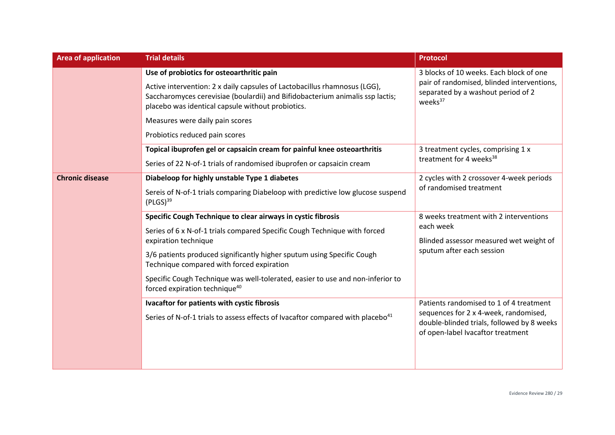| <b>Area of application</b> | <b>Trial details</b>                                                                                                                                                                                                                                                                                                                                                                                                    | <b>Protocol</b>                                                                                                                                                     |
|----------------------------|-------------------------------------------------------------------------------------------------------------------------------------------------------------------------------------------------------------------------------------------------------------------------------------------------------------------------------------------------------------------------------------------------------------------------|---------------------------------------------------------------------------------------------------------------------------------------------------------------------|
|                            | Use of probiotics for osteoarthritic pain<br>Active intervention: 2 x daily capsules of Lactobacillus rhamnosus (LGG),<br>Saccharomyces cerevisiae (boulardii) and Bifidobacterium animalis ssp lactis;<br>placebo was identical capsule without probiotics.<br>Measures were daily pain scores<br>Probiotics reduced pain scores                                                                                       | 3 blocks of 10 weeks. Each block of one<br>pair of randomised, blinded interventions,<br>separated by a washout period of 2<br>weeks <sup>37</sup>                  |
|                            | Topical ibuprofen gel or capsaicin cream for painful knee osteoarthritis<br>Series of 22 N-of-1 trials of randomised ibuprofen or capsaicin cream                                                                                                                                                                                                                                                                       | 3 treatment cycles, comprising 1 x<br>treatment for 4 weeks <sup>38</sup>                                                                                           |
| <b>Chronic disease</b>     | Diabeloop for highly unstable Type 1 diabetes<br>Sereis of N-of-1 trials comparing Diabeloop with predictive low glucose suspend<br>$(PLGS)^{39}$                                                                                                                                                                                                                                                                       | 2 cycles with 2 crossover 4-week periods<br>of randomised treatment                                                                                                 |
|                            | Specific Cough Technique to clear airways in cystic fibrosis<br>Series of 6 x N-of-1 trials compared Specific Cough Technique with forced<br>expiration technique<br>3/6 patients produced significantly higher sputum using Specific Cough<br>Technique compared with forced expiration<br>Specific Cough Technique was well-tolerated, easier to use and non-inferior to<br>forced expiration technique <sup>40</sup> | 8 weeks treatment with 2 interventions<br>each week<br>Blinded assessor measured wet weight of<br>sputum after each session                                         |
|                            | Ivacaftor for patients with cystic fibrosis<br>Series of N-of-1 trials to assess effects of Ivacaftor compared with placebo <sup>41</sup>                                                                                                                                                                                                                                                                               | Patients randomised to 1 of 4 treatment<br>sequences for 2 x 4-week, randomised,<br>double-blinded trials, followed by 8 weeks<br>of open-label Ivacaftor treatment |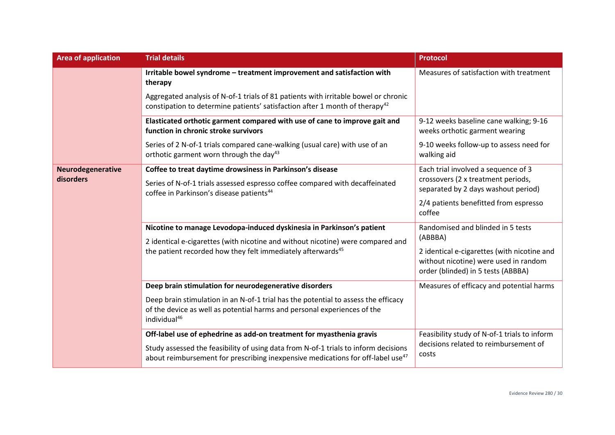| <b>Area of application</b>            | <b>Trial details</b>                                                                                                                                                                                                                                       | <b>Protocol</b>                                                                                                            |
|---------------------------------------|------------------------------------------------------------------------------------------------------------------------------------------------------------------------------------------------------------------------------------------------------------|----------------------------------------------------------------------------------------------------------------------------|
|                                       | Irritable bowel syndrome - treatment improvement and satisfaction with<br>therapy                                                                                                                                                                          | Measures of satisfaction with treatment                                                                                    |
|                                       | Aggregated analysis of N-of-1 trials of 81 patients with irritable bowel or chronic<br>constipation to determine patients' satisfaction after 1 month of therapy <sup>42</sup>                                                                             |                                                                                                                            |
|                                       | Elasticated orthotic garment compared with use of cane to improve gait and<br>function in chronic stroke survivors                                                                                                                                         | 9-12 weeks baseline cane walking; 9-16<br>weeks orthotic garment wearing                                                   |
|                                       | Series of 2 N-of-1 trials compared cane-walking (usual care) with use of an<br>orthotic garment worn through the day <sup>43</sup>                                                                                                                         | 9-10 weeks follow-up to assess need for<br>walking aid                                                                     |
| <b>Neurodegenerative</b><br>disorders | Coffee to treat daytime drowsiness in Parkinson's disease<br>Series of N-of-1 trials assessed espresso coffee compared with decaffeinated<br>coffee in Parkinson's disease patients <sup>44</sup>                                                          | Each trial involved a sequence of 3<br>crossovers (2 x treatment periods,<br>separated by 2 days washout period)           |
|                                       |                                                                                                                                                                                                                                                            | 2/4 patients benefitted from espresso<br>coffee                                                                            |
|                                       | Nicotine to manage Levodopa-induced dyskinesia in Parkinson's patient<br>2 identical e-cigarettes (with nicotine and without nicotine) were compared and                                                                                                   | Randomised and blinded in 5 tests<br>(ABBBA)                                                                               |
|                                       | the patient recorded how they felt immediately afterwards <sup>45</sup>                                                                                                                                                                                    | 2 identical e-cigarettes (with nicotine and<br>without nicotine) were used in random<br>order (blinded) in 5 tests (ABBBA) |
|                                       | Deep brain stimulation for neurodegenerative disorders                                                                                                                                                                                                     | Measures of efficacy and potential harms                                                                                   |
|                                       | Deep brain stimulation in an N-of-1 trial has the potential to assess the efficacy<br>of the device as well as potential harms and personal experiences of the<br>individual <sup>46</sup>                                                                 |                                                                                                                            |
|                                       | Off-label use of ephedrine as add-on treatment for myasthenia gravis<br>Study assessed the feasibility of using data from N-of-1 trials to inform decisions<br>about reimbursement for prescribing inexpensive medications for off-label use <sup>47</sup> | Feasibility study of N-of-1 trials to inform<br>decisions related to reimbursement of<br>costs                             |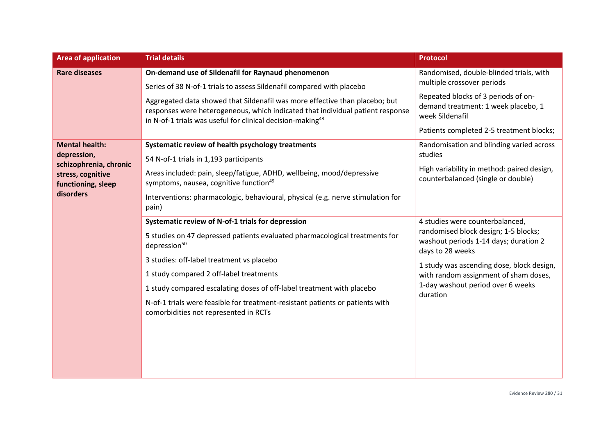| <b>Area of application</b>                                                                                             | <b>Trial details</b>                                                                                                                                                                                                                                                                                                                                                                                                                                    | <b>Protocol</b>                                                                                                                                                                                                                                                             |
|------------------------------------------------------------------------------------------------------------------------|---------------------------------------------------------------------------------------------------------------------------------------------------------------------------------------------------------------------------------------------------------------------------------------------------------------------------------------------------------------------------------------------------------------------------------------------------------|-----------------------------------------------------------------------------------------------------------------------------------------------------------------------------------------------------------------------------------------------------------------------------|
| <b>Rare diseases</b>                                                                                                   | On-demand use of Sildenafil for Raynaud phenomenon<br>Series of 38 N-of-1 trials to assess Sildenafil compared with placebo<br>Aggregated data showed that Sildenafil was more effective than placebo; but<br>responses were heterogeneous, which indicated that individual patient response<br>in N-of-1 trials was useful for clinical decision-making <sup>48</sup>                                                                                  | Randomised, double-blinded trials, with<br>multiple crossover periods<br>Repeated blocks of 3 periods of on-<br>demand treatment: 1 week placebo, 1<br>week Sildenafil<br>Patients completed 2-5 treatment blocks;                                                          |
| <b>Mental health:</b><br>depression,<br>schizophrenia, chronic<br>stress, cognitive<br>functioning, sleep<br>disorders | Systematic review of health psychology treatments<br>54 N-of-1 trials in 1,193 participants<br>Areas included: pain, sleep/fatigue, ADHD, wellbeing, mood/depressive<br>symptoms, nausea, cognitive function <sup>49</sup><br>Interventions: pharmacologic, behavioural, physical (e.g. nerve stimulation for<br>pain)                                                                                                                                  | Randomisation and blinding varied across<br>studies<br>High variability in method: paired design,<br>counterbalanced (single or double)                                                                                                                                     |
|                                                                                                                        | Systematic review of N-of-1 trials for depression<br>5 studies on 47 depressed patients evaluated pharmacological treatments for<br>depression <sup>50</sup><br>3 studies: off-label treatment vs placebo<br>1 study compared 2 off-label treatments<br>1 study compared escalating doses of off-label treatment with placebo<br>N-of-1 trials were feasible for treatment-resistant patients or patients with<br>comorbidities not represented in RCTs | 4 studies were counterbalanced,<br>randomised block design; 1-5 blocks;<br>washout periods 1-14 days; duration 2<br>days to 28 weeks<br>1 study was ascending dose, block design,<br>with random assignment of sham doses,<br>1-day washout period over 6 weeks<br>duration |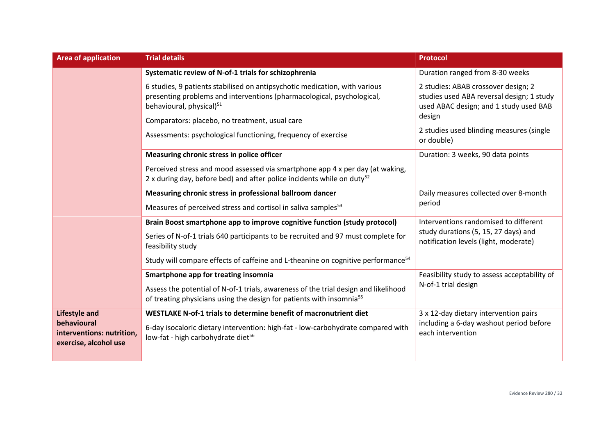| <b>Area of application</b>                                                                | <b>Trial details</b>                                                                                                                                                                                                                                                                                            | <b>Protocol</b>                                                                                                                                                                                |
|-------------------------------------------------------------------------------------------|-----------------------------------------------------------------------------------------------------------------------------------------------------------------------------------------------------------------------------------------------------------------------------------------------------------------|------------------------------------------------------------------------------------------------------------------------------------------------------------------------------------------------|
|                                                                                           | Systematic review of N-of-1 trials for schizophrenia                                                                                                                                                                                                                                                            | Duration ranged from 8-30 weeks                                                                                                                                                                |
|                                                                                           | 6 studies, 9 patients stabilised on antipsychotic medication, with various<br>presenting problems and interventions (pharmacological, psychological,<br>behavioural, physical) <sup>51</sup><br>Comparators: placebo, no treatment, usual care<br>Assessments: psychological functioning, frequency of exercise | 2 studies: ABAB crossover design; 2<br>studies used ABA reversal design; 1 study<br>used ABAC design; and 1 study used BAB<br>design<br>2 studies used blinding measures (single<br>or double) |
|                                                                                           | Measuring chronic stress in police officer                                                                                                                                                                                                                                                                      | Duration: 3 weeks, 90 data points                                                                                                                                                              |
|                                                                                           | Perceived stress and mood assessed via smartphone app 4 x per day (at waking,<br>2 x during day, before bed) and after police incidents while on duty <sup>52</sup>                                                                                                                                             |                                                                                                                                                                                                |
|                                                                                           | Measuring chronic stress in professional ballroom dancer                                                                                                                                                                                                                                                        | Daily measures collected over 8-month                                                                                                                                                          |
|                                                                                           | Measures of perceived stress and cortisol in saliva samples <sup>53</sup>                                                                                                                                                                                                                                       | period                                                                                                                                                                                         |
|                                                                                           | Brain Boost smartphone app to improve cognitive function (study protocol)<br>Series of N-of-1 trials 640 participants to be recruited and 97 must complete for<br>feasibility study                                                                                                                             | Interventions randomised to different<br>study durations (5, 15, 27 days) and<br>notification levels (light, moderate)                                                                         |
|                                                                                           | Study will compare effects of caffeine and L-theanine on cognitive performance <sup>54</sup>                                                                                                                                                                                                                    |                                                                                                                                                                                                |
|                                                                                           | Smartphone app for treating insomnia<br>Assess the potential of N-of-1 trials, awareness of the trial design and likelihood<br>of treating physicians using the design for patients with insomnia <sup>55</sup>                                                                                                 | Feasibility study to assess acceptability of<br>N-of-1 trial design                                                                                                                            |
| <b>Lifestyle and</b><br>behavioural<br>interventions: nutrition,<br>exercise, alcohol use | WESTLAKE N-of-1 trials to determine benefit of macronutrient diet<br>6-day isocaloric dietary intervention: high-fat - low-carbohydrate compared with<br>low-fat - high carbohydrate diet <sup>56</sup>                                                                                                         | 3 x 12-day dietary intervention pairs<br>including a 6-day washout period before<br>each intervention                                                                                          |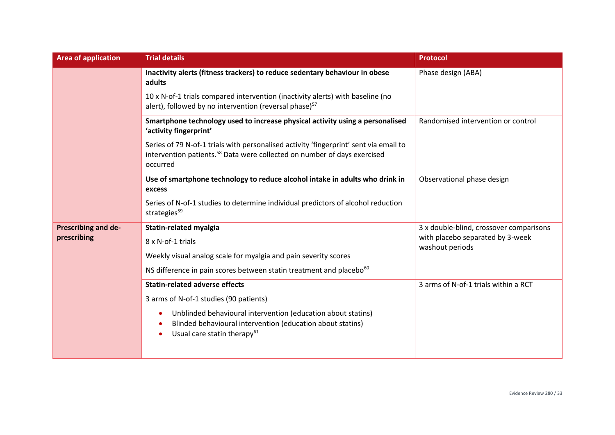| <b>Area of application</b> | <b>Trial details</b>                                                                                                                                                                      | Protocol                                            |
|----------------------------|-------------------------------------------------------------------------------------------------------------------------------------------------------------------------------------------|-----------------------------------------------------|
|                            | Inactivity alerts (fitness trackers) to reduce sedentary behaviour in obese<br>adults                                                                                                     | Phase design (ABA)                                  |
|                            | 10 x N-of-1 trials compared intervention (inactivity alerts) with baseline (no<br>alert), followed by no intervention (reversal phase) <sup>57</sup>                                      |                                                     |
|                            | Smartphone technology used to increase physical activity using a personalised<br>'activity fingerprint'                                                                                   | Randomised intervention or control                  |
|                            | Series of 79 N-of-1 trials with personalised activity 'fingerprint' sent via email to<br>intervention patients. <sup>58</sup> Data were collected on number of days exercised<br>occurred |                                                     |
|                            | Use of smartphone technology to reduce alcohol intake in adults who drink in<br>excess                                                                                                    | Observational phase design                          |
|                            | Series of N-of-1 studies to determine individual predictors of alcohol reduction<br>strategies <sup>59</sup>                                                                              |                                                     |
| <b>Prescribing and de-</b> | Statin-related myalgia                                                                                                                                                                    | 3 x double-blind, crossover comparisons             |
| prescribing                | 8 x N-of-1 trials                                                                                                                                                                         | with placebo separated by 3-week<br>washout periods |
|                            | Weekly visual analog scale for myalgia and pain severity scores                                                                                                                           |                                                     |
|                            | NS difference in pain scores between statin treatment and placebo <sup>60</sup>                                                                                                           |                                                     |
|                            | <b>Statin-related adverse effects</b>                                                                                                                                                     | 3 arms of N-of-1 trials within a RCT                |
|                            | 3 arms of N-of-1 studies (90 patients)                                                                                                                                                    |                                                     |
|                            | Unblinded behavioural intervention (education about statins)<br>٠<br>Blinded behavioural intervention (education about statins)<br>٠<br>Usual care statin therapy $61$<br>٠               |                                                     |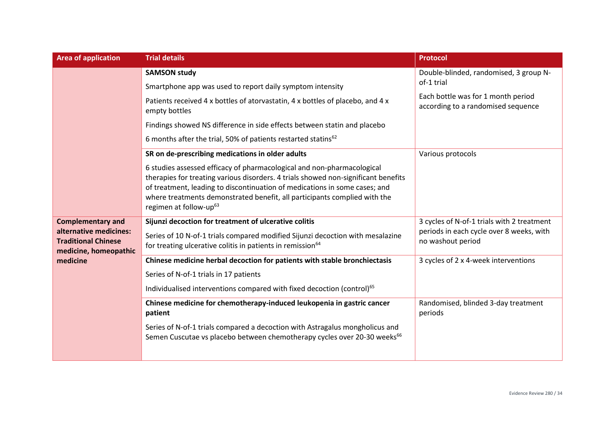| <b>Area of application</b>                          | <b>Trial details</b>                                                                                                                                                                                                                                                                                                                                          | <b>Protocol</b>                                                                        |
|-----------------------------------------------------|---------------------------------------------------------------------------------------------------------------------------------------------------------------------------------------------------------------------------------------------------------------------------------------------------------------------------------------------------------------|----------------------------------------------------------------------------------------|
|                                                     | <b>SAMSON study</b><br>Smartphone app was used to report daily symptom intensity                                                                                                                                                                                                                                                                              | Double-blinded, randomised, 3 group N-<br>of-1 trial                                   |
|                                                     | Patients received 4 x bottles of atorvastatin, 4 x bottles of placebo, and 4 x<br>empty bottles                                                                                                                                                                                                                                                               | Each bottle was for 1 month period<br>according to a randomised sequence               |
|                                                     | Findings showed NS difference in side effects between statin and placebo                                                                                                                                                                                                                                                                                      |                                                                                        |
|                                                     | 6 months after the trial, 50% of patients restarted statins <sup>62</sup>                                                                                                                                                                                                                                                                                     |                                                                                        |
|                                                     | SR on de-prescribing medications in older adults                                                                                                                                                                                                                                                                                                              | Various protocols                                                                      |
|                                                     | 6 studies assessed efficacy of pharmacological and non-pharmacological<br>therapies for treating various disorders. 4 trials showed non-significant benefits<br>of treatment, leading to discontinuation of medications in some cases; and<br>where treatments demonstrated benefit, all participants complied with the<br>regimen at follow-up <sup>63</sup> |                                                                                        |
| <b>Complementary and</b><br>alternative medicines:  | Sijunzi decoction for treatment of ulcerative colitis                                                                                                                                                                                                                                                                                                         | 3 cycles of N-of-1 trials with 2 treatment<br>periods in each cycle over 8 weeks, with |
| <b>Traditional Chinese</b><br>medicine, homeopathic | Series of 10 N-of-1 trials compared modified Sijunzi decoction with mesalazine<br>for treating ulcerative colitis in patients in remission <sup>64</sup>                                                                                                                                                                                                      | no washout period                                                                      |
| medicine                                            | Chinese medicine herbal decoction for patients with stable bronchiectasis                                                                                                                                                                                                                                                                                     | 3 cycles of 2 x 4-week interventions                                                   |
|                                                     | Series of N-of-1 trials in 17 patients                                                                                                                                                                                                                                                                                                                        |                                                                                        |
|                                                     | Individualised interventions compared with fixed decoction (control) <sup>65</sup>                                                                                                                                                                                                                                                                            |                                                                                        |
|                                                     | Chinese medicine for chemotherapy-induced leukopenia in gastric cancer<br>patient                                                                                                                                                                                                                                                                             | Randomised, blinded 3-day treatment<br>periods                                         |
|                                                     | Series of N-of-1 trials compared a decoction with Astragalus mongholicus and<br>Semen Cuscutae vs placebo between chemotherapy cycles over 20-30 weeks <sup>66</sup>                                                                                                                                                                                          |                                                                                        |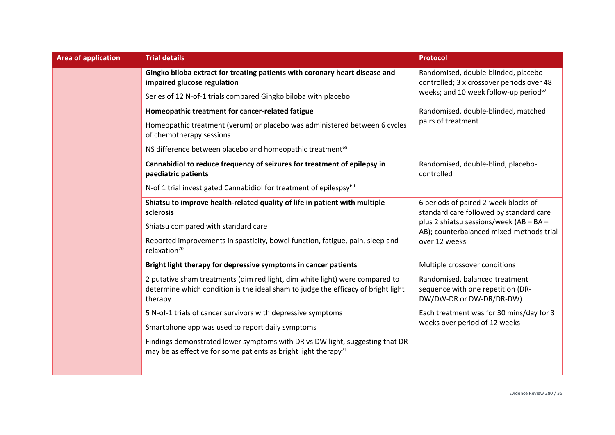| <b>Area of application</b> | <b>Trial details</b>                                                                                                                                                                                                                                                                                                                                                                                                                                                                                                               | <b>Protocol</b>                                                                                                                                                                                               |
|----------------------------|------------------------------------------------------------------------------------------------------------------------------------------------------------------------------------------------------------------------------------------------------------------------------------------------------------------------------------------------------------------------------------------------------------------------------------------------------------------------------------------------------------------------------------|---------------------------------------------------------------------------------------------------------------------------------------------------------------------------------------------------------------|
|                            | Gingko biloba extract for treating patients with coronary heart disease and<br>impaired glucose regulation<br>Series of 12 N-of-1 trials compared Gingko biloba with placebo                                                                                                                                                                                                                                                                                                                                                       | Randomised, double-blinded, placebo-<br>controlled; 3 x crossover periods over 48<br>weeks; and 10 week follow-up period <sup>67</sup>                                                                        |
|                            | Homeopathic treatment for cancer-related fatigue<br>Homeopathic treatment (verum) or placebo was administered between 6 cycles<br>of chemotherapy sessions<br>NS difference between placebo and homeopathic treatment <sup>68</sup>                                                                                                                                                                                                                                                                                                | Randomised, double-blinded, matched<br>pairs of treatment                                                                                                                                                     |
|                            | Cannabidiol to reduce frequency of seizures for treatment of epilepsy in<br>paediatric patients<br>N-of 1 trial investigated Cannabidiol for treatment of epilespsy <sup>69</sup>                                                                                                                                                                                                                                                                                                                                                  | Randomised, double-blind, placebo-<br>controlled                                                                                                                                                              |
|                            | Shiatsu to improve health-related quality of life in patient with multiple<br>sclerosis<br>Shiatsu compared with standard care<br>Reported improvements in spasticity, bowel function, fatigue, pain, sleep and<br>relaxation <sup>70</sup>                                                                                                                                                                                                                                                                                        | 6 periods of paired 2-week blocks of<br>standard care followed by standard care<br>plus 2 shiatsu sessions/week (AB - BA -<br>AB); counterbalanced mixed-methods trial<br>over 12 weeks                       |
|                            | Bright light therapy for depressive symptoms in cancer patients<br>2 putative sham treatments (dim red light, dim white light) were compared to<br>determine which condition is the ideal sham to judge the efficacy of bright light<br>therapy<br>5 N-of-1 trials of cancer survivors with depressive symptoms<br>Smartphone app was used to report daily symptoms<br>Findings demonstrated lower symptoms with DR vs DW light, suggesting that DR<br>may be as effective for some patients as bright light therapy <sup>71</sup> | Multiple crossover conditions<br>Randomised, balanced treatment<br>sequence with one repetition (DR-<br>DW/DW-DR or DW-DR/DR-DW)<br>Each treatment was for 30 mins/day for 3<br>weeks over period of 12 weeks |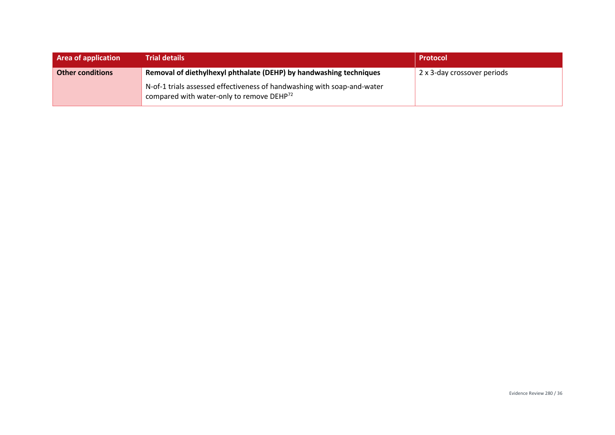| <b>Area of application</b> | <b>Trial details</b>                                                                                                             | <b>Protocol</b>             |
|----------------------------|----------------------------------------------------------------------------------------------------------------------------------|-----------------------------|
| <b>Other conditions</b>    | Removal of diethylhexyl phthalate (DEHP) by handwashing techniques                                                               | 2 x 3-day crossover periods |
|                            | N-of-1 trials assessed effectiveness of handwashing with soap-and-water<br>compared with water-only to remove DEHP <sup>72</sup> |                             |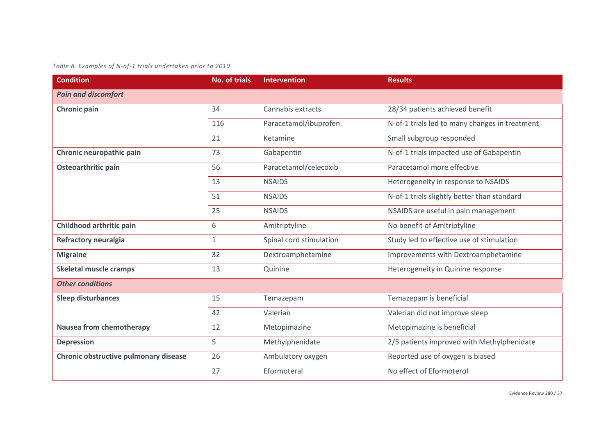*Table 8. Examples of N-of-1 trials undertaken prior to 2010*

<span id="page-36-0"></span>

| <b>Condition</b>                      | <b>No. of trials</b> | <b>Intervention</b>     | <b>Results</b>                                 |
|---------------------------------------|----------------------|-------------------------|------------------------------------------------|
| <b>Pain and discomfort</b>            |                      |                         |                                                |
| <b>Chronic pain</b>                   | 34                   | Cannabis extracts       | 28/34 patients achieved benefit                |
|                                       | 116                  | Paracetamol/ibuprofen   | N-of-1 trials led to many changes in treatment |
|                                       | 21                   | Ketamine                | Small subgroup responded                       |
| Chronic neuropathic pain              | 73                   | Gabapentin              | N-of-1 trials impacted use of Gabapentin       |
| Osteoarthritic pain                   | 56                   | Paracetamol/celecoxib   | Paracetamol more effective                     |
|                                       | 13                   | <b>NSAIDS</b>           | Heterogeneity in response to NSAIDS            |
|                                       | 51                   | <b>NSAIDS</b>           | N-of-1 trials slightly better than standard    |
|                                       | 25                   | <b>NSAIDS</b>           | NSAIDS are useful in pain management           |
| Childhood arthritic pain              | 6                    | Amitriptyline           | No benefit of Amitriptyline                    |
| Refractory neuralgia                  | $\mathbf{1}$         | Spinal cord stimulation | Study led to effective use of stimulation      |
| <b>Migraine</b>                       | 32                   | Dextroamphetamine       | Improvements with Dextroamphetamine            |
| <b>Skeletal muscle cramps</b>         | 13                   | Quinine                 | Heterogeneity in Quinine response              |
| <b>Other conditions</b>               |                      |                         |                                                |
| <b>Sleep disturbances</b>             | 15                   | Temazepam               | Temazepam is beneficial                        |
|                                       | 42                   | Valerian                | Valerian did not improve sleep                 |
| <b>Nausea from chemotherapy</b>       | 12                   | Metopimazine            | Metopimazine is beneficial                     |
| <b>Depression</b>                     | 5                    | Methylphenidate         | 2/5 patients improved with Methylphenidate     |
| Chronic obstructive pulmonary disease | 26                   | Ambulatory oxygen       | Reported use of oxygen is biased               |
|                                       | 27                   | Eformoteral             | No effect of Eformoterol                       |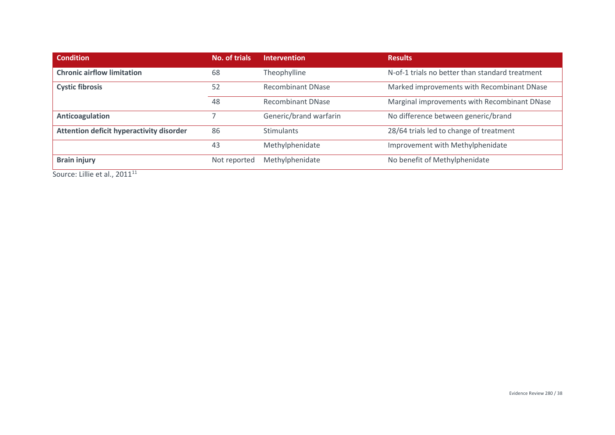| <b>Condition</b>                         | No. of trials | <b>Intervention</b>      | <b>Results</b>                                  |
|------------------------------------------|---------------|--------------------------|-------------------------------------------------|
| <b>Chronic airflow limitation</b>        | 68            | Theophylline             | N-of-1 trials no better than standard treatment |
| <b>Cystic fibrosis</b>                   | 52            | <b>Recombinant DNase</b> | Marked improvements with Recombinant DNase      |
|                                          | 48            | <b>Recombinant DNase</b> | Marginal improvements with Recombinant DNase    |
| Anticoagulation                          |               | Generic/brand warfarin   | No difference between generic/brand             |
| Attention deficit hyperactivity disorder | 86            | <b>Stimulants</b>        | 28/64 trials led to change of treatment         |
|                                          | 43            | Methylphenidate          | Improvement with Methylphenidate                |
| <b>Brain injury</b>                      | Not reported  | Methylphenidate          | No benefit of Methylphenidate                   |

Source: Lillie et al., 2011<sup>11</sup>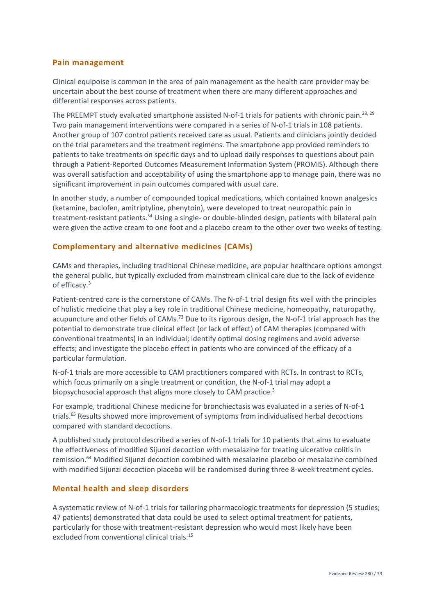#### **Pain management**

Clinical equipoise is common in the area of pain management as the health care provider may be uncertain about the best course of treatment when there are many different approaches and differential responses across patients.

The PREEMPT study evaluated smartphone assisted N-of-1 trials for patients with chronic pain.<sup>28, 29</sup> Two pain management interventions were compared in a series of N-of-1 trials in 108 patients. Another group of 107 control patients received care as usual. Patients and clinicians jointly decided on the trial parameters and the treatment regimens. The smartphone app provided reminders to patients to take treatments on specific days and to upload daily responses to questions about pain through a Patient-Reported Outcomes Measurement Information System (PROMIS). Although there was overall satisfaction and acceptability of using the smartphone app to manage pain, there was no significant improvement in pain outcomes compared with usual care.

In another study, a number of compounded topical medications, which contained known analgesics (ketamine, baclofen, amitriptyline, phenytoin), were developed to treat neuropathic pain in treatment-resistant patients.<sup>34</sup> Using a single- or double-blinded design, patients with bilateral pain were given the active cream to one foot and a placebo cream to the other over two weeks of testing.

#### **Complementary and alternative medicines (CAMs)**

CAMs and therapies, including traditional Chinese medicine, are popular healthcare options amongst the general public, but typically excluded from mainstream clinical care due to the lack of evidence of efficacy.<sup>3</sup>

Patient-centred care is the cornerstone of CAMs. The N-of-1 trial design fits well with the principles of holistic medicine that play a key role in traditional Chinese medicine, homeopathy, naturopathy, acupuncture and other fields of CAMs.<sup>73</sup> Due to its rigorous design, the N-of-1 trial approach has the potential to demonstrate true clinical effect (or lack of effect) of CAM therapies (compared with conventional treatments) in an individual; identify optimal dosing regimens and avoid adverse effects; and investigate the placebo effect in patients who are convinced of the efficacy of a particular formulation.

N-of-1 trials are more accessible to CAM practitioners compared with RCTs. In contrast to RCTs, which focus primarily on a single treatment or condition, the N-of-1 trial may adopt a biopsychosocial approach that aligns more closely to CAM practice.<sup>3</sup>

For example, traditional Chinese medicine for bronchiectasis was evaluated in a series of N-of-1 trials.<sup>65</sup> Results showed more improvement of symptoms from individualised herbal decoctions compared with standard decoctions.

A published study protocol described a series of N-of-1 trials for 10 patients that aims to evaluate the effectiveness of modified Sijunzi decoction with mesalazine for treating ulcerative colitis in remission.<sup>64</sup> Modified Sijunzi decoction combined with mesalazine placebo or mesalazine combined with modified Sijunzi decoction placebo will be randomised during three 8-week treatment cycles.

#### **Mental health and sleep disorders**

A systematic review of N-of-1 trials for tailoring pharmacologic treatments for depression (5 studies; 47 patients) demonstrated that data could be used to select optimal treatment for patients, particularly for those with treatment-resistant depression who would most likely have been excluded from conventional clinical trials.<sup>15</sup>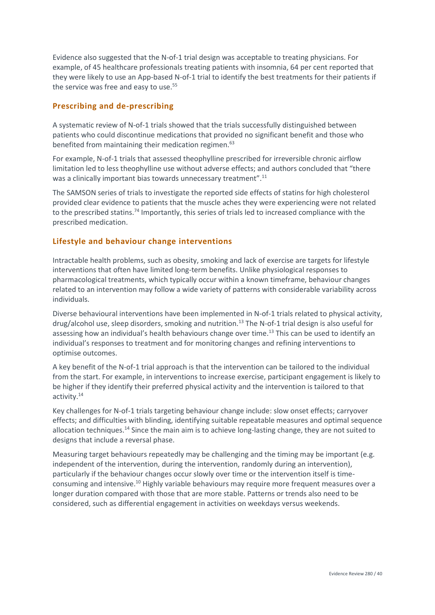Evidence also suggested that the N-of-1 trial design was acceptable to treating physicians. For example, of 45 healthcare professionals treating patients with insomnia, 64 per cent reported that they were likely to use an App-based N-of-1 trial to identify the best treatments for their patients if the service was free and easy to use.<sup>55</sup>

#### **Prescribing and de-prescribing**

A systematic review of N-of-1 trials showed that the trials successfully distinguished between patients who could discontinue medications that provided no significant benefit and those who benefited from maintaining their medication regimen.<sup>63</sup>

For example, N-of-1 trials that assessed theophylline prescribed for irreversible chronic airflow limitation led to less theophylline use without adverse effects; and authors concluded that "there was a clinically important bias towards unnecessary treatment".<sup>11</sup>

The SAMSON series of trials to investigate the reported side effects of statins for high cholesterol provided clear evidence to patients that the muscle aches they were experiencing were not related to the prescribed statins.<sup>74</sup> Importantly, this series of trials led to increased compliance with the prescribed medication.

#### **Lifestyle and behaviour change interventions**

Intractable health problems, such as obesity, smoking and lack of exercise are targets for lifestyle interventions that often have limited long-term benefits. Unlike physiological responses to pharmacological treatments, which typically occur within a known timeframe, behaviour changes related to an intervention may follow a wide variety of patterns with considerable variability across individuals.

Diverse behavioural interventions have been implemented in N-of-1 trials related to physical activity, drug/alcohol use, sleep disorders, smoking and nutrition.<sup>13</sup> The N-of-1 trial design is also useful for assessing how an individual's health behaviours change over time.<sup>13</sup> This can be used to identify an individual's responses to treatment and for monitoring changes and refining interventions to optimise outcomes.

A key benefit of the N-of-1 trial approach is that the intervention can be tailored to the individual from the start. For example, in interventions to increase exercise, participant engagement is likely to be higher if they identify their preferred physical activity and the intervention is tailored to that activity.<sup>14</sup>

Key challenges for N-of-1 trials targeting behaviour change include: slow onset effects; carryover effects; and difficulties with blinding, identifying suitable repeatable measures and optimal sequence allocation techniques.<sup>14</sup> Since the main aim is to achieve long-lasting change, they are not suited to designs that include a reversal phase.

Measuring target behaviours repeatedly may be challenging and the timing may be important (e.g. independent of the intervention, during the intervention, randomly during an intervention), particularly if the behaviour changes occur slowly over time or the intervention itself is timeconsuming and intensive.<sup>10</sup> Highly variable behaviours may require more frequent measures over a longer duration compared with those that are more stable. Patterns or trends also need to be considered, such as differential engagement in activities on weekdays versus weekends.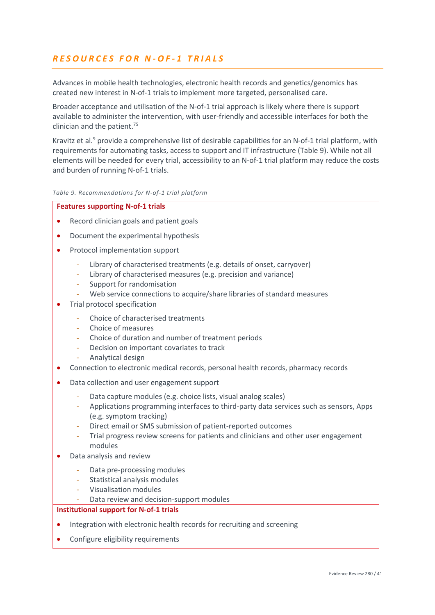# *R E S O U R C E S F O R N - O F - 1 T R I A L S*

Advances in mobile health technologies, electronic health records and genetics/genomics has created new interest in N-of-1 trials to implement more targeted, personalised care.

Broader acceptance and utilisation of the N-of-1 trial approach is likely where there is support available to administer the intervention, with user-friendly and accessible interfaces for both the clinician and the patient.<sup>75</sup>

Kravitz et al.<sup>9</sup> provide a comprehensive list of desirable capabilities for an N-of-1 trial platform, with requirements for automating tasks, access to support and IT infrastructure [\(Table 9\)](#page-40-0). While not all elements will be needed for every trial, accessibility to an N-of-1 trial platform may reduce the costs and burden of running N-of-1 trials.

<span id="page-40-0"></span>*Table 9. Recommendations for N-of-1 trial platform*

#### **Features supporting N-of-1 trials**

- Record clinician goals and patient goals
- Document the experimental hypothesis
- Protocol implementation support
	- Library of characterised treatments (e.g. details of onset, carryover)
	- Library of characterised measures (e.g. precision and variance)
	- Support for randomisation
	- Web service connections to acquire/share libraries of standard measures
- Trial protocol specification
	- Choice of characterised treatments
	- Choice of measures
	- Choice of duration and number of treatment periods
	- Decision on important covariates to track
	- Analytical design
- Connection to electronic medical records, personal health records, pharmacy records
- Data collection and user engagement support
	- Data capture modules (e.g. choice lists, visual analog scales)
	- Applications programming interfaces to third-party data services such as sensors, Apps (e.g. symptom tracking)
	- Direct email or SMS submission of patient-reported outcomes
	- Trial progress review screens for patients and clinicians and other user engagement modules
- Data analysis and review
	- Data pre-processing modules
	- Statistical analysis modules
	- Visualisation modules
	- Data review and decision-support modules

#### **Institutional support for N-of-1 trials**

- Integration with electronic health records for recruiting and screening
- Configure eligibility requirements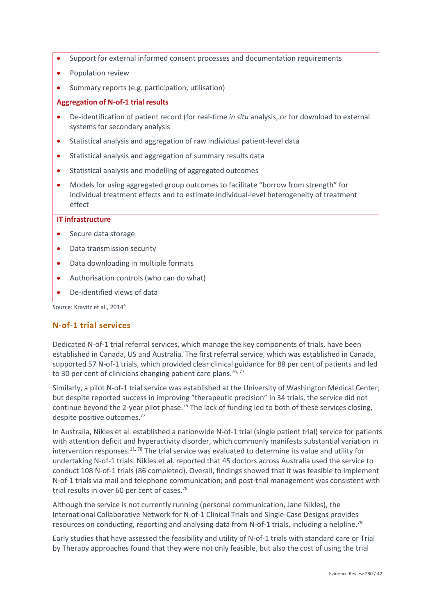- Support for external informed consent processes and documentation requirements
- Population review
- Summary reports (e.g. participation, utilisation)

#### **Aggregation of N-of-1 trial results**

- De-identification of patient record (for real-time *in situ* analysis, or for download to external systems for secondary analysis
- Statistical analysis and aggregation of raw individual patient-level data
- Statistical analysis and aggregation of summary results data
- Statistical analysis and modelling of aggregated outcomes
- Models for using aggregated group outcomes to facilitate "borrow from strength" for individual treatment effects and to estimate individual-level heterogeneity of treatment effect

#### **IT infrastructure**

- Secure data storage
- Data transmission security
- Data downloading in multiple formats
- Authorisation controls (who can do what)
- De-identified views of data

Source: Kravitz et al., 2014<sup>9</sup>

#### **N-of-1 trial services**

Dedicated N-of-1 trial referral services, which manage the key components of trials, have been established in Canada, US and Australia. The first referral service, which was established in Canada, supported 57 N-of-1 trials, which provided clear clinical guidance for 88 per cent of patients and led to 30 per cent of clinicians changing patient care plans.<sup>76, 77</sup>

Similarly, a pilot N-of-1 trial service was established at the University of Washington Medical Center; but despite reported success in improving "therapeutic precision" in 34 trials, the service did not continue beyond the 2-year pilot phase.<sup>75</sup> The lack of funding led to both of these services closing, despite positive outcomes.<sup>77</sup>

In Australia, Nikles et al. established a nationwide N-of-1 trial (single patient trial) service for patients with attention deficit and hyperactivity disorder, which commonly manifests substantial variation in intervention responses.<sup>11, 78</sup> The trial service was evaluated to determine its value and utility for undertaking N-of-1 trials. Nikles et al. reported that 45 doctors across Australia used the service to conduct 108 N-of-1 trials (86 completed). Overall, findings showed that it was feasible to implement N-of-1 trials via mail and telephone communication; and post-trial management was consistent with trial results in over 60 per cent of cases.<sup>78</sup>

Although the service is not currently running (personal communication, Jane Nikles), the International Collaborative Network for N-of-1 Clinical Trials and Single-Case Designs provides resources on conducting, reporting and analysing data from N-of-1 trials, including a helpline.<sup>79</sup>

Early studies that have assessed the feasibility and utility of N-of-1 trials with standard care or Trial by Therapy approaches found that they were not only feasible, but also the cost of using the trial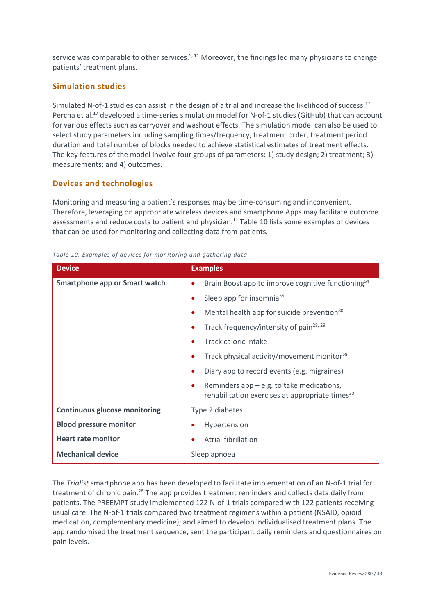service was comparable to other services.<sup>5, 11</sup> Moreover, the findings led many physicians to change patients' treatment plans.

#### **Simulation studies**

Simulated N-of-1 studies can assist in the design of a trial and increase the likelihood of success.<sup>17</sup> Percha et al.<sup>17</sup> developed a time-series simulation model for N-of-1 studies (GitHub) that can account for various effects such as carryover and washout effects. The simulation model can also be used to select study parameters including sampling times/frequency, treatment order, treatment period duration and total number of blocks needed to achieve statistical estimates of treatment effects. The key features of the model involve four groups of parameters: 1) study design; 2) treatment; 3) measurements; and 4) outcomes.

#### **Devices and technologies**

Monitoring and measuring a patient's responses may be time-consuming and inconvenient. Therefore, leveraging on appropriate wireless devices and smartphone Apps may facilitate outcome assessments and reduce costs to patient and physician.<sup>11</sup> [Table 10](#page-42-0) lists some examples of devices that can be used for monitoring and collecting data from patients.

| <b>Device</b>                        | <b>Examples</b>                                                                                                 |
|--------------------------------------|-----------------------------------------------------------------------------------------------------------------|
| <b>Smartphone app or Smart watch</b> | Brain Boost app to improve cognitive functioning <sup>54</sup><br>$\bullet$                                     |
|                                      | Sleep app for insomnia <sup>55</sup>                                                                            |
|                                      | Mental health app for suicide prevention <sup>80</sup>                                                          |
|                                      | Track frequency/intensity of pain <sup>28, 29</sup>                                                             |
|                                      | Track caloric intake                                                                                            |
|                                      | Track physical activity/movement monitor <sup>58</sup>                                                          |
|                                      | Diary app to record events (e.g. migraines)                                                                     |
|                                      | Reminders app $-$ e.g. to take medications,<br>٠<br>rehabilitation exercises at appropriate times <sup>30</sup> |
| <b>Continuous glucose monitoring</b> | Type 2 diabetes                                                                                                 |
| <b>Blood pressure monitor</b>        | Hypertension                                                                                                    |
| <b>Heart rate monitor</b>            | Atrial fibrillation                                                                                             |
| <b>Mechanical device</b>             | Sleep apnoea                                                                                                    |

<span id="page-42-0"></span>*Table 10. Examples of devices for monitoring and gathering data*

The *Trialist* smartphone app has been developed to facilitate implementation of an N-of-1 trial for treatment of chronic pain.<sup>28</sup> The app provides treatment reminders and collects data daily from patients. The PREEMPT study implemented 122 N-of-1 trials compared with 122 patients receiving usual care. The N-of-1 trials compared two treatment regimens within a patient (NSAID, opioid medication, complementary medicine); and aimed to develop individualised treatment plans. The app randomised the treatment sequence, sent the participant daily reminders and questionnaires on pain levels.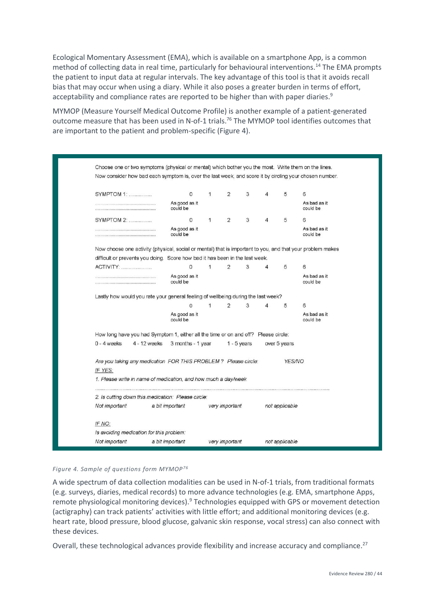Ecological Momentary Assessment (EMA), which is available on a smartphone App, is a common method of collecting data in real time, particularly for behavioural interventions.<sup>14</sup> The EMA prompts the patient to input data at regular intervals. The key advantage of this tool is that it avoids recall bias that may occur when using a diary. While it also poses a greater burden in terms of effort, acceptability and compliance rates are reported to be higher than with paper diaries.<sup>9</sup>

MYMOP (Measure Yourself Medical Outcome Profile) is another example of a patient-generated outcome measure that has been used in N-of-1 trials.<sup>76</sup> The MYMOP tool identifies outcomes that are important to the patient and problem-specific [\(Figure 4\)](#page-43-0).

| <b>SYMPTOM 1:</b><br>$\Omega$<br>3<br>1<br>2<br>5<br>6<br>4<br>As bad as it<br>As good as it<br>could be<br>could be<br>0<br>2<br>3<br>5<br><b>SYMPTOM 2: </b><br>4<br>6<br>1<br>As good as it<br>As bad as it<br>could be<br>could be<br>Now choose one activity (physical, social or mental) that is important to you, and that your problem makes<br>difficult or prevents you doing. Score how bad it has been in the last week.<br>ACTIVITY:<br>$\Omega$<br>2<br>3<br>5<br>6<br>1<br>4<br>As bad as it<br>As good as it<br>could be<br>could be<br>Lastly how would you rate your general feeling of wellbeing during the last week?<br>$\mathbf 0$<br>2<br>3<br>5<br>6<br>1<br>4<br>As good as it<br>As bad as it<br>could be<br>could be<br>How long have you had Symptom 1, either all the time or on and off? Please circle:<br>$0 - 4$ weeks<br>4 - 12 weeks<br>3 months - 1 year<br>$1 - 5$ years<br>over 5 years<br><b>YES/NO</b><br>Are you taking any medication FOR THIS PROBLEM? Please circle:<br>IF YES:<br>1. Please write in name of medication, and how much a day/week<br>2. Is cutting down this medication: Please circle:<br>Not important<br>a bit important<br>very important<br>not applicable<br>IF NO:<br>Is avoiding medication for this problem: |  |
|----------------------------------------------------------------------------------------------------------------------------------------------------------------------------------------------------------------------------------------------------------------------------------------------------------------------------------------------------------------------------------------------------------------------------------------------------------------------------------------------------------------------------------------------------------------------------------------------------------------------------------------------------------------------------------------------------------------------------------------------------------------------------------------------------------------------------------------------------------------------------------------------------------------------------------------------------------------------------------------------------------------------------------------------------------------------------------------------------------------------------------------------------------------------------------------------------------------------------------------------------------------------------------|--|
|                                                                                                                                                                                                                                                                                                                                                                                                                                                                                                                                                                                                                                                                                                                                                                                                                                                                                                                                                                                                                                                                                                                                                                                                                                                                                  |  |
|                                                                                                                                                                                                                                                                                                                                                                                                                                                                                                                                                                                                                                                                                                                                                                                                                                                                                                                                                                                                                                                                                                                                                                                                                                                                                  |  |
|                                                                                                                                                                                                                                                                                                                                                                                                                                                                                                                                                                                                                                                                                                                                                                                                                                                                                                                                                                                                                                                                                                                                                                                                                                                                                  |  |
|                                                                                                                                                                                                                                                                                                                                                                                                                                                                                                                                                                                                                                                                                                                                                                                                                                                                                                                                                                                                                                                                                                                                                                                                                                                                                  |  |
|                                                                                                                                                                                                                                                                                                                                                                                                                                                                                                                                                                                                                                                                                                                                                                                                                                                                                                                                                                                                                                                                                                                                                                                                                                                                                  |  |
|                                                                                                                                                                                                                                                                                                                                                                                                                                                                                                                                                                                                                                                                                                                                                                                                                                                                                                                                                                                                                                                                                                                                                                                                                                                                                  |  |
|                                                                                                                                                                                                                                                                                                                                                                                                                                                                                                                                                                                                                                                                                                                                                                                                                                                                                                                                                                                                                                                                                                                                                                                                                                                                                  |  |
|                                                                                                                                                                                                                                                                                                                                                                                                                                                                                                                                                                                                                                                                                                                                                                                                                                                                                                                                                                                                                                                                                                                                                                                                                                                                                  |  |
|                                                                                                                                                                                                                                                                                                                                                                                                                                                                                                                                                                                                                                                                                                                                                                                                                                                                                                                                                                                                                                                                                                                                                                                                                                                                                  |  |
|                                                                                                                                                                                                                                                                                                                                                                                                                                                                                                                                                                                                                                                                                                                                                                                                                                                                                                                                                                                                                                                                                                                                                                                                                                                                                  |  |
|                                                                                                                                                                                                                                                                                                                                                                                                                                                                                                                                                                                                                                                                                                                                                                                                                                                                                                                                                                                                                                                                                                                                                                                                                                                                                  |  |
|                                                                                                                                                                                                                                                                                                                                                                                                                                                                                                                                                                                                                                                                                                                                                                                                                                                                                                                                                                                                                                                                                                                                                                                                                                                                                  |  |
|                                                                                                                                                                                                                                                                                                                                                                                                                                                                                                                                                                                                                                                                                                                                                                                                                                                                                                                                                                                                                                                                                                                                                                                                                                                                                  |  |
|                                                                                                                                                                                                                                                                                                                                                                                                                                                                                                                                                                                                                                                                                                                                                                                                                                                                                                                                                                                                                                                                                                                                                                                                                                                                                  |  |
|                                                                                                                                                                                                                                                                                                                                                                                                                                                                                                                                                                                                                                                                                                                                                                                                                                                                                                                                                                                                                                                                                                                                                                                                                                                                                  |  |
|                                                                                                                                                                                                                                                                                                                                                                                                                                                                                                                                                                                                                                                                                                                                                                                                                                                                                                                                                                                                                                                                                                                                                                                                                                                                                  |  |
|                                                                                                                                                                                                                                                                                                                                                                                                                                                                                                                                                                                                                                                                                                                                                                                                                                                                                                                                                                                                                                                                                                                                                                                                                                                                                  |  |
|                                                                                                                                                                                                                                                                                                                                                                                                                                                                                                                                                                                                                                                                                                                                                                                                                                                                                                                                                                                                                                                                                                                                                                                                                                                                                  |  |
|                                                                                                                                                                                                                                                                                                                                                                                                                                                                                                                                                                                                                                                                                                                                                                                                                                                                                                                                                                                                                                                                                                                                                                                                                                                                                  |  |
|                                                                                                                                                                                                                                                                                                                                                                                                                                                                                                                                                                                                                                                                                                                                                                                                                                                                                                                                                                                                                                                                                                                                                                                                                                                                                  |  |
| Not important<br>a bit important<br>not applicable<br>very important                                                                                                                                                                                                                                                                                                                                                                                                                                                                                                                                                                                                                                                                                                                                                                                                                                                                                                                                                                                                                                                                                                                                                                                                             |  |

#### <span id="page-43-0"></span>*Figure 4. Sample of questions form MYMOP<sup>76</sup>*

A wide spectrum of data collection modalities can be used in N-of-1 trials, from traditional formats (e.g. surveys, diaries, medical records) to more advance technologies (e.g. EMA, smartphone Apps, remote physiological monitoring devices).<sup>9</sup> Technologies equipped with GPS or movement detection (actigraphy) can track patients' activities with little effort; and additional monitoring devices (e.g. heart rate, blood pressure, blood glucose, galvanic skin response, vocal stress) can also connect with these devices.

Overall, these technological advances provide flexibility and increase accuracy and compliance.<sup>27</sup>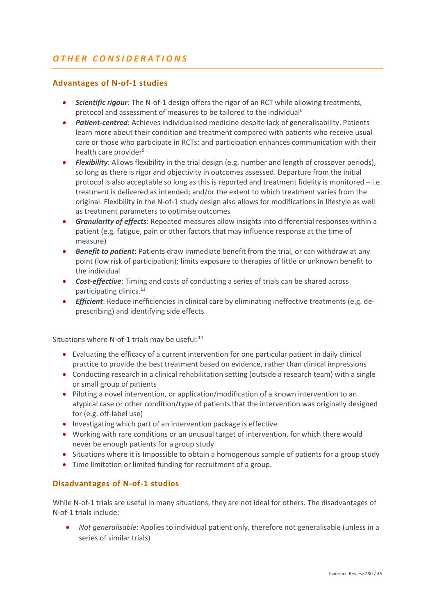#### **Advantages of N-of-1 studies**

- *Scientific rigour*: The N-of-1 design offers the rigor of an RCT while allowing treatments, protocol and assessment of measures to be tailored to the individual<sup>6</sup>
- *Patient-centred*: Achieves individualised medicine despite lack of generalisability. Patients learn more about their condition and treatment compared with patients who receive usual care or those who participate in RCTs; and participation enhances communication with their health care provider<sup>9</sup>
- *Flexibility*: Allows flexibility in the trial design (e.g. number and length of crossover periods), so long as there is rigor and objectivity in outcomes assessed. Departure from the initial protocol is also acceptable so long as this is reported and treatment fidelity is monitored – i.e. treatment is delivered as intended; and/or the extent to which treatment varies from the original. Flexibility in the N-of-1 study design also allows for modifications in lifestyle as well as treatment parameters to optimise outcomes
- *Granularity of effects*: Repeated measures allow insights into differential responses within a patient (e.g. fatigue, pain or other factors that may influence response at the time of measure)
- *Benefit to patient*: Patients draw immediate benefit from the trial, or can withdraw at any point (low risk of participation); limits exposure to therapies of little or unknown benefit to the individual
- *Cost-effective*: Timing and costs of conducting a series of trials can be shared across participating clinics.<sup>11</sup>
- *Efficient*: Reduce inefficiencies in clinical care by eliminating ineffective treatments (e.g. deprescribing) and identifying side effects.

Situations where N-of-1 trials may be useful: $^{10}$ 

- Evaluating the efficacy of a current intervention for one particular patient in daily clinical practice to provide the best treatment based on evidence, rather than clinical impressions
- Conducting research in a clinical rehabilitation setting (outside a research team) with a single or small group of patients
- Piloting a novel intervention, or application/modification of a known intervention to an atypical case or other condition/type of patients that the intervention was originally designed for (e.g. off-label use)
- Investigating which part of an intervention package is effective
- Working with rare conditions or an unusual target of intervention, for which there would never be enough patients for a group study
- Situations where it is Impossible to obtain a homogenous sample of patients for a group study
- Time limitation or limited funding for recruitment of a group.

#### **Disadvantages of N-of-1 studies**

While N-of-1 trials are useful in many situations, they are not ideal for others. The disadvantages of N-of-1 trials include:

• *Not generalisable*: Applies to individual patient only, therefore not generalisable (unless in a series of similar trials)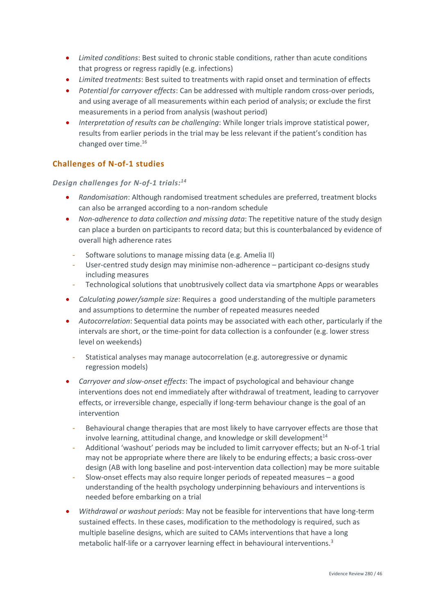- *Limited conditions*: Best suited to chronic stable conditions, rather than acute conditions that progress or regress rapidly (e.g. infections)
- *Limited treatments*: Best suited to treatments with rapid onset and termination of effects
- *Potential for carryover effects*: Can be addressed with multiple random cross-over periods, and using average of all measurements within each period of analysis; or exclude the first measurements in a period from analysis (washout period)
- *Interpretation of results can be challenging*: While longer trials improve statistical power, results from earlier periods in the trial may be less relevant if the patient's condition has changed over time. 16

# **Challenges of N-of-1 studies**

#### *Design challenges for N-of-1 trials: 14*

- *Randomisation*: Although randomised treatment schedules are preferred, treatment blocks can also be arranged according to a non-random schedule
- *Non-adherence to data collection and missing data*: The repetitive nature of the study design can place a burden on participants to record data; but this is counterbalanced by evidence of overall high adherence rates
	- Software solutions to manage missing data (e.g. Amelia II)
	- User-centred study design may minimise non-adherence participant co-designs study including measures
	- Technological solutions that unobtrusively collect data via smartphone Apps or wearables
- *Calculating power/sample size*: Requires a good understanding of the multiple parameters and assumptions to determine the number of repeated measures needed
- *Autocorrelation*: Sequential data points may be associated with each other, particularly if the intervals are short, or the time-point for data collection is a confounder (e.g. lower stress level on weekends)
	- Statistical analyses may manage autocorrelation (e.g. autoregressive or dynamic regression models)
- *Carryover and slow-onset effects*: The impact of psychological and behaviour change interventions does not end immediately after withdrawal of treatment, leading to carryover effects, or irreversible change, especially if long-term behaviour change is the goal of an intervention
	- Behavioural change therapies that are most likely to have carryover effects are those that involve learning, attitudinal change, and knowledge or skill development $14$
	- Additional 'washout' periods may be included to limit carryover effects; but an N-of-1 trial may not be appropriate where there are likely to be enduring effects; a basic cross-over design (AB with long baseline and post-intervention data collection) may be more suitable
	- Slow-onset effects may also require longer periods of repeated measures a good understanding of the health psychology underpinning behaviours and interventions is needed before embarking on a trial
- *Withdrawal or washout periods*: May not be feasible for interventions that have long-term sustained effects. In these cases, modification to the methodology is required, such as multiple baseline designs, which are suited to CAMs interventions that have a long metabolic half-life or a carryover learning effect in behavioural interventions.3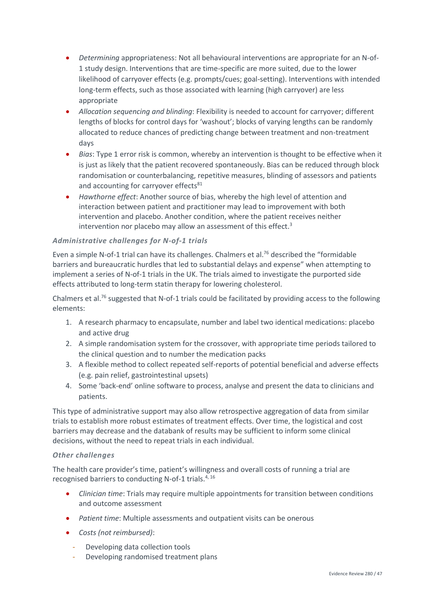- *Determining* appropriateness: Not all behavioural interventions are appropriate for an N-of-1 study design. Interventions that are time-specific are more suited, due to the lower likelihood of carryover effects (e.g. prompts/cues; goal-setting). Interventions with intended long-term effects, such as those associated with learning (high carryover) are less appropriate
- *Allocation sequencing and blinding*: Flexibility is needed to account for carryover; different lengths of blocks for control days for 'washout'; blocks of varying lengths can be randomly allocated to reduce chances of predicting change between treatment and non-treatment days
- *Bias*: Type 1 error risk is common, whereby an intervention is thought to be effective when it is just as likely that the patient recovered spontaneously. Bias can be reduced through block randomisation or counterbalancing, repetitive measures, blinding of assessors and patients and accounting for carryover effects<sup>81</sup>
- *Hawthorne effect*: Another source of bias, whereby the high level of attention and interaction between patient and practitioner may lead to improvement with both intervention and placebo. Another condition, where the patient receives neither intervention nor placebo may allow an assessment of this effect.<sup>3</sup>

#### *Administrative challenges for N-of-1 trials*

Even a simple N-of-1 trial can have its challenges. Chalmers et al.<sup>76</sup> described the "formidable" barriers and bureaucratic hurdles that led to substantial delays and expense" when attempting to implement a series of N-of-1 trials in the UK. The trials aimed to investigate the purported side effects attributed to long-term statin therapy for lowering cholesterol.

Chalmers et al.<sup>76</sup> suggested that N-of-1 trials could be facilitated by providing access to the following elements:

- 1. A research pharmacy to encapsulate, number and label two identical medications: placebo and active drug
- 2. A simple randomisation system for the crossover, with appropriate time periods tailored to the clinical question and to number the medication packs
- 3. A flexible method to collect repeated self-reports of potential beneficial and adverse effects (e.g. pain relief, gastrointestinal upsets)
- 4. Some 'back-end' online software to process, analyse and present the data to clinicians and patients.

This type of administrative support may also allow retrospective aggregation of data from similar trials to establish more robust estimates of treatment effects. Over time, the logistical and cost barriers may decrease and the databank of results may be sufficient to inform some clinical decisions, without the need to repeat trials in each individual.

#### *Other challenges*

The health care provider's time, patient's willingness and overall costs of running a trial are recognised barriers to conducting N-of-1 trials.<sup>4, 16</sup>

- *Clinician time*: Trials may require multiple appointments for transition between conditions and outcome assessment
- *Patient time*: Multiple assessments and outpatient visits can be onerous
- *Costs (not reimbursed)*:
	- Developing data collection tools
	- Developing randomised treatment plans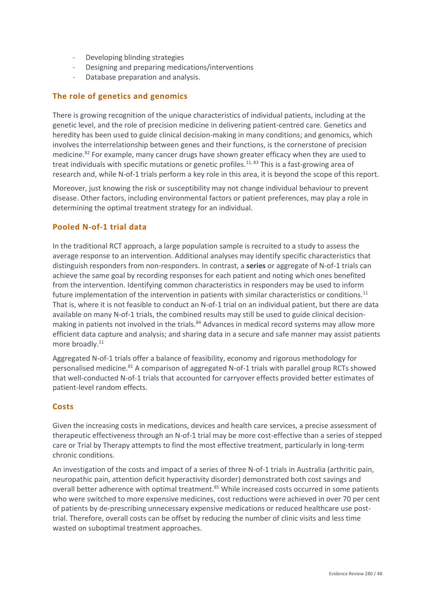- Developing blinding strategies
- Designing and preparing medications/interventions
- Database preparation and analysis.

#### **The role of genetics and genomics**

There is growing recognition of the unique characteristics of individual patients, including at the genetic level, and the role of precision medicine in delivering patient-centred care. Genetics and heredity has been used to guide clinical decision-making in many conditions; and genomics, which involves the interrelationship between genes and their functions, is the cornerstone of precision medicine.<sup>82</sup> For example, many cancer drugs have shown greater efficacy when they are used to treat individuals with specific mutations or genetic profiles.<sup>11, 83</sup> This is a fast-growing area of research and, while N-of-1 trials perform a key role in this area, it is beyond the scope of this report.

Moreover, just knowing the risk or susceptibility may not change individual behaviour to prevent disease. Other factors, including environmental factors or patient preferences, may play a role in determining the optimal treatment strategy for an individual.

#### **Pooled N-of-1 trial data**

In the traditional RCT approach, a large population sample is recruited to a study to assess the average response to an intervention. Additional analyses may identify specific characteristics that distinguish responders from non-responders. In contrast, a **series** or aggregate of N-of-1 trials can achieve the same goal by recording responses for each patient and noting which ones benefited from the intervention. Identifying common characteristics in responders may be used to inform future implementation of the intervention in patients with similar characteristics or conditions.<sup>11</sup> That is, where it is not feasible to conduct an N-of-1 trial on an individual patient, but there are data available on many N-of-1 trials, the combined results may still be used to guide clinical decisionmaking in patients not involved in the trials.<sup>84</sup> Advances in medical record systems may allow more efficient data capture and analysis; and sharing data in a secure and safe manner may assist patients more broadly. 11

Aggregated N-of-1 trials offer a balance of feasibility, economy and rigorous methodology for personalised medicine.<sup>81</sup> A comparison of aggregated N-of-1 trials with parallel group RCTs showed that well-conducted N-of-1 trials that accounted for carryover effects provided better estimates of patient-level random effects.

#### **Costs**

Given the increasing costs in medications, devices and health care services, a precise assessment of therapeutic effectiveness through an N-of-1 trial may be more cost-effective than a series of stepped care or Trial by Therapy attempts to find the most effective treatment, particularly in long-term chronic conditions.

An investigation of the costs and impact of a series of three N-of-1 trials in Australia (arthritic pain, neuropathic pain, attention deficit hyperactivity disorder) demonstrated both cost savings and overall better adherence with optimal treatment.<sup>85</sup> While increased costs occurred in some patients who were switched to more expensive medicines, cost reductions were achieved in over 70 per cent of patients by de-prescribing unnecessary expensive medications or reduced healthcare use posttrial. Therefore, overall costs can be offset by reducing the number of clinic visits and less time wasted on suboptimal treatment approaches.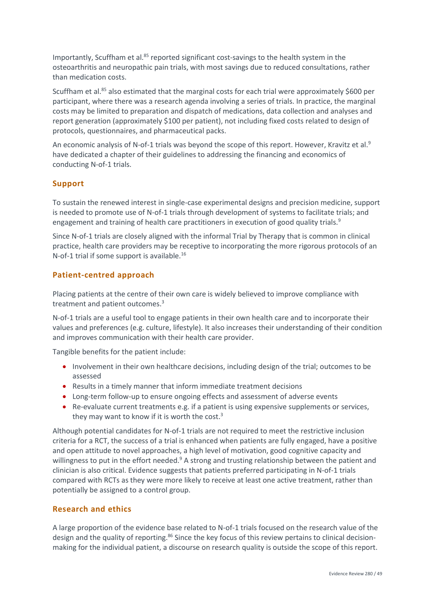Importantly, Scuffham et al.<sup>85</sup> reported significant cost-savings to the health system in the osteoarthritis and neuropathic pain trials, with most savings due to reduced consultations, rather than medication costs.

Scuffham et al.<sup>85</sup> also estimated that the marginal costs for each trial were approximately \$600 per participant, where there was a research agenda involving a series of trials. In practice, the marginal costs may be limited to preparation and dispatch of medications, data collection and analyses and report generation (approximately \$100 per patient), not including fixed costs related to design of protocols, questionnaires, and pharmaceutical packs.

An economic analysis of N-of-1 trials was beyond the scope of this report. However, Kravitz et al.<sup>9</sup> have dedicated a chapter of their guidelines to addressing the financing and economics of conducting N-of-1 trials.

#### **Support**

To sustain the renewed interest in single-case experimental designs and precision medicine, support is needed to promote use of N-of-1 trials through development of systems to facilitate trials; and engagement and training of health care practitioners in execution of good quality trials.<sup>9</sup>

Since N-of-1 trials are closely aligned with the informal Trial by Therapy that is common in clinical practice, health care providers may be receptive to incorporating the more rigorous protocols of an N-of-1 trial if some support is available.<sup>16</sup>

#### **Patient-centred approach**

Placing patients at the centre of their own care is widely believed to improve compliance with treatment and patient outcomes.<sup>3</sup>

N-of-1 trials are a useful tool to engage patients in their own health care and to incorporate their values and preferences (e.g. culture, lifestyle). It also increases their understanding of their condition and improves communication with their health care provider.

Tangible benefits for the patient include:

- Involvement in their own healthcare decisions, including design of the trial; outcomes to be assessed
- Results in a timely manner that inform immediate treatment decisions
- Long-term follow-up to ensure ongoing effects and assessment of adverse events
- Re-evaluate current treatments e.g. if a patient is using expensive supplements or services, they may want to know if it is worth the cost.<sup>3</sup>

Although potential candidates for N-of-1 trials are not required to meet the restrictive inclusion criteria for a RCT, the success of a trial is enhanced when patients are fully engaged, have a positive and open attitude to novel approaches, a high level of motivation, good cognitive capacity and willingness to put in the effort needed.<sup>9</sup> A strong and trusting relationship between the patient and clinician is also critical. Evidence suggests that patients preferred participating in N-of-1 trials compared with RCTs as they were more likely to receive at least one active treatment, rather than potentially be assigned to a control group.

#### **Research and ethics**

A large proportion of the evidence base related to N-of-1 trials focused on the research value of the design and the quality of reporting.<sup>86</sup> Since the key focus of this review pertains to clinical decisionmaking for the individual patient, a discourse on research quality is outside the scope of this report.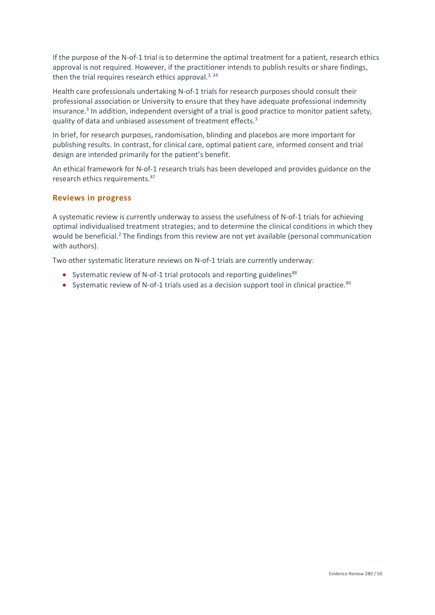If the purpose of the N-of-1 trial is to determine the optimal treatment for a patient, research ethics approval is not required. However, if the practitioner intends to publish results or share findings, then the trial requires research ethics approval. $3,34$ 

Health care professionals undertaking N-of-1 trials for research purposes should consult their professional association or University to ensure that they have adequate professional indemnity insurance.<sup>3</sup> In addition, independent oversight of a trial is good practice to monitor patient safety, quality of data and unbiased assessment of treatment effects.<sup>3</sup>

In brief, for research purposes, randomisation, blinding and placebos are more important for publishing results. In contrast, for clinical care, optimal patient care, informed consent and trial design are intended primarily for the patient's benefit.

An ethical framework for N-of-1 research trials has been developed and provides guidance on the research ethics requirements.<sup>87</sup>

#### **Reviews in progress**

A systematic review is currently underway to assess the usefulness of N-of-1 trials for achieving optimal individualised treatment strategies; and to determine the clinical conditions in which they would be beneficial.<sup>2</sup> The findings from this review are not yet available (personal communication with authors).

Two other systematic literature reviews on N-of-1 trials are currently underway:

- Systematic review of N-of-1 trial protocols and reporting guidelines<sup>88</sup>
- Systematic review of N-of-1 trials used as a decision support tool in clinical practice.<sup>89</sup>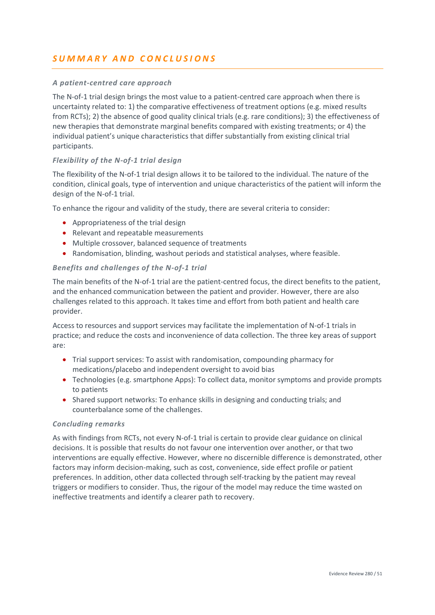# *S U M M A R Y A N D C O N C L U S I O N S*

#### *A patient-centred care approach*

The N-of-1 trial design brings the most value to a patient-centred care approach when there is uncertainty related to: 1) the comparative effectiveness of treatment options (e.g. mixed results from RCTs); 2) the absence of good quality clinical trials (e.g. rare conditions); 3) the effectiveness of new therapies that demonstrate marginal benefits compared with existing treatments; or 4) the individual patient's unique characteristics that differ substantially from existing clinical trial participants.

#### *Flexibility of the N-of-1 trial design*

The flexibility of the N-of-1 trial design allows it to be tailored to the individual. The nature of the condition, clinical goals, type of intervention and unique characteristics of the patient will inform the design of the N-of-1 trial.

To enhance the rigour and validity of the study, there are several criteria to consider:

- Appropriateness of the trial design
- Relevant and repeatable measurements
- Multiple crossover, balanced sequence of treatments
- Randomisation, blinding, washout periods and statistical analyses, where feasible.

#### *Benefits and challenges of the N-of-1 trial*

The main benefits of the N-of-1 trial are the patient-centred focus, the direct benefits to the patient, and the enhanced communication between the patient and provider. However, there are also challenges related to this approach. It takes time and effort from both patient and health care provider.

Access to resources and support services may facilitate the implementation of N-of-1 trials in practice; and reduce the costs and inconvenience of data collection. The three key areas of support are:

- Trial support services: To assist with randomisation, compounding pharmacy for medications/placebo and independent oversight to avoid bias
- Technologies (e.g. smartphone Apps): To collect data, monitor symptoms and provide prompts to patients
- Shared support networks: To enhance skills in designing and conducting trials; and counterbalance some of the challenges.

#### *Concluding remarks*

As with findings from RCTs, not every N-of-1 trial is certain to provide clear guidance on clinical decisions. It is possible that results do not favour one intervention over another, or that two interventions are equally effective. However, where no discernible difference is demonstrated, other factors may inform decision-making, such as cost, convenience, side effect profile or patient preferences. In addition, other data collected through self-tracking by the patient may reveal triggers or modifiers to consider. Thus, the rigour of the model may reduce the time wasted on ineffective treatments and identify a clearer path to recovery.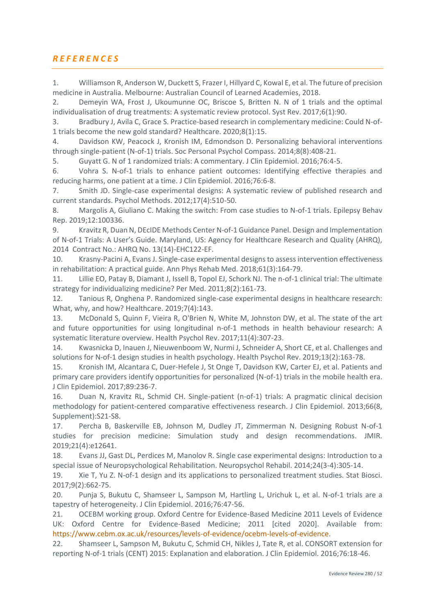# *R E F E R E N C E S*

1. Williamson R, Anderson W, Duckett S, Frazer I, Hillyard C, Kowal E, et al. The future of precision medicine in Australia. Melbourne: Australian Council of Learned Academies, 2018.

2. Demeyin WA, Frost J, Ukoumunne OC, Briscoe S, Britten N. N of 1 trials and the optimal individualisation of drug treatments: A systematic review protocol. Syst Rev. 2017;6(1):90.

3. Bradbury J, Avila C, Grace S. Practice-based research in complementary medicine: Could N-of-1 trials become the new gold standard? Healthcare. 2020;8(1):15.

4. Davidson KW, Peacock J, Kronish IM, Edmondson D. Personalizing behavioral interventions through single-patient (N-of-1) trials. Soc Personal Psychol Compass. 2014;8(8):408-21.

5. Guyatt G. N of 1 randomized trials: A commentary. J Clin Epidemiol. 2016;76:4-5.

6. Vohra S. N-of-1 trials to enhance patient outcomes: Identifying effective therapies and reducing harms, one patient at a time. J Clin Epidemiol. 2016;76:6-8.

7. Smith JD. Single-case experimental designs: A systematic review of published research and current standards. Psychol Methods. 2012;17(4):510-50.

8. Margolis A, Giuliano C. Making the switch: From case studies to N-of-1 trials. Epilepsy Behav Rep. 2019;12:100336.

9. Kravitz R, Duan N, DEcIDE Methods Center N-of-1 Guidance Panel. Design and Implementation of N-of-1 Trials: A User's Guide. Maryland, US: Agency for Healthcare Research and Quality (AHRQ), 2014 Contract No.: AHRQ No. 13(14)-EHC122-EF.

10. Krasny-Pacini A, Evans J. Single-case experimental designs to assess intervention effectiveness in rehabilitation: A practical guide. Ann Phys Rehab Med. 2018;61(3):164-79.

11. Lillie EO, Patay B, Diamant J, Issell B, Topol EJ, Schork NJ. The n-of-1 clinical trial: The ultimate strategy for individualizing medicine? Per Med. 2011;8(2):161-73.

12. Tanious R, Onghena P. Randomized single-case experimental designs in healthcare research: What, why, and how? Healthcare. 2019;7(4):143.

13. McDonald S, Quinn F, Vieira R, O'Brien N, White M, Johnston DW, et al. The state of the art and future opportunities for using longitudinal n-of-1 methods in health behaviour research: A systematic literature overview. Health Psychol Rev. 2017;11(4):307-23.

14. Kwasnicka D, Inauen J, Nieuwenboom W, Nurmi J, Schneider A, Short CE, et al. Challenges and solutions for N-of-1 design studies in health psychology. Health Psychol Rev. 2019;13(2):163-78.

15. Kronish IM, Alcantara C, Duer-Hefele J, St Onge T, Davidson KW, Carter EJ, et al. Patients and primary care providers identify opportunities for personalized (N-of-1) trials in the mobile health era. J Clin Epidemiol. 2017;89:236-7.

16. Duan N, Kravitz RL, Schmid CH. Single-patient (n-of-1) trials: A pragmatic clinical decision methodology for patient-centered comparative effectiveness research. J Clin Epidemiol. 2013;66(8, Supplement):S21-S8.

17. Percha B, Baskerville EB, Johnson M, Dudley JT, Zimmerman N. Designing Robust N-of-1 studies for precision medicine: Simulation study and design recommendations. JMIR. 2019;21(4):e12641.

18. Evans JJ, Gast DL, Perdices M, Manolov R. Single case experimental designs: Introduction to a special issue of Neuropsychological Rehabilitation. Neuropsychol Rehabil. 2014;24(3-4):305-14.

19. Xie T, Yu Z. N-of-1 design and its applications to personalized treatment studies. Stat Biosci. 2017;9(2):662-75.

20. Punja S, Bukutu C, Shamseer L, Sampson M, Hartling L, Urichuk L, et al. N-of-1 trials are a tapestry of heterogeneity. J Clin Epidemiol. 2016;76:47-56.

21. OCEBM working group. Oxford Centre for Evidence-Based Medicine 2011 Levels of Evidence UK: Oxford Centre for Evidence-Based Medicine; 2011 [cited 2020]. Available from: [https://www.cebm.ox.ac.uk/resources/levels-of-evidence/ocebm-levels-of-evidence.](https://www.cebm.ox.ac.uk/resources/levels-of-evidence/ocebm-levels-of-evidence)

22. Shamseer L, Sampson M, Bukutu C, Schmid CH, Nikles J, Tate R, et al. CONSORT extension for reporting N-of-1 trials (CENT) 2015: Explanation and elaboration. J Clin Epidemiol. 2016;76:18-46.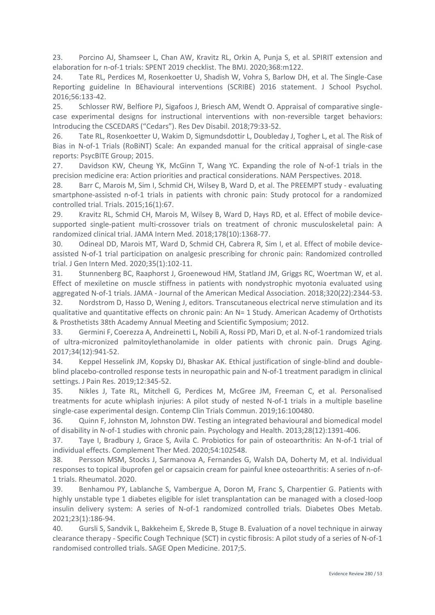23. Porcino AJ, Shamseer L, Chan AW, Kravitz RL, Orkin A, Punja S, et al. SPIRIT extension and elaboration for n-of-1 trials: SPENT 2019 checklist. The BMJ. 2020;368:m122.

24. Tate RL, Perdices M, Rosenkoetter U, Shadish W, Vohra S, Barlow DH, et al. The Single-Case Reporting guideline In BEhavioural interventions (SCRIBE) 2016 statement. J School Psychol. 2016;56:133-42.

25. Schlosser RW, Belfiore PJ, Sigafoos J, Briesch AM, Wendt O. Appraisal of comparative singlecase experimental designs for instructional interventions with non-reversible target behaviors: Introducing the CSCEDARS ("Cedars"). Res Dev Disabil. 2018;79:33-52.

26. Tate RL, Rosenkoetter U, Wakim D, Sigmundsdottir L, Doubleday J, Togher L, et al. The Risk of Bias in N-of-1 Trials (RoBiNT) Scale: An expanded manual for the critical appraisal of single-case reports: PsycBITE Group; 2015.

27. Davidson KW, Cheung YK, McGinn T, Wang YC. Expanding the role of N-of-1 trials in the precision medicine era: Action priorities and practical considerations. NAM Perspectives. 2018.

28. Barr C, Marois M, Sim I, Schmid CH, Wilsey B, Ward D, et al. The PREEMPT study - evaluating smartphone-assisted n-of-1 trials in patients with chronic pain: Study protocol for a randomized controlled trial. Trials. 2015;16(1):67.

29. Kravitz RL, Schmid CH, Marois M, Wilsey B, Ward D, Hays RD, et al. Effect of mobile devicesupported single-patient multi-crossover trials on treatment of chronic musculoskeletal pain: A randomized clinical trial. JAMA Intern Med. 2018;178(10):1368-77.

30. Odineal DD, Marois MT, Ward D, Schmid CH, Cabrera R, Sim I, et al. Effect of mobile deviceassisted N-of-1 trial participation on analgesic prescribing for chronic pain: Randomized controlled trial. J Gen Intern Med. 2020;35(1):102-11.

31. Stunnenberg BC, Raaphorst J, Groenewoud HM, Statland JM, Griggs RC, Woertman W, et al. Effect of mexiletine on muscle stiffness in patients with nondystrophic myotonia evaluated using aggregated N-of-1 trials. JAMA - Journal of the American Medical Association. 2018;320(22):2344-53.

32. Nordstrom D, Hasso D, Wening J, editors. Transcutaneous electrical nerve stimulation and its qualitative and quantitative effects on chronic pain: An N= 1 Study. American Academy of Orthotists & Prosthetists 38th Academy Annual Meeting and Scientific Symposium; 2012.

33. Germini F, Coerezza A, Andreinetti L, Nobili A, Rossi PD, Mari D, et al. N-of-1 randomized trials of ultra-micronized palmitoylethanolamide in older patients with chronic pain. Drugs Aging. 2017;34(12):941-52.

34. Keppel Hesselink JM, Kopsky DJ, Bhaskar AK. Ethical justification of single-blind and doubleblind placebo-controlled response tests in neuropathic pain and N-of-1 treatment paradigm in clinical settings. J Pain Res. 2019;12:345-52.

35. Nikles J, Tate RL, Mitchell G, Perdices M, McGree JM, Freeman C, et al. Personalised treatments for acute whiplash injuries: A pilot study of nested N-of-1 trials in a multiple baseline single-case experimental design. Contemp Clin Trials Commun. 2019;16:100480.

36. Quinn F, Johnston M, Johnston DW. Testing an integrated behavioural and biomedical model of disability in N-of-1 studies with chronic pain. Psychology and Health. 2013;28(12):1391-406.

37. Taye I, Bradbury J, Grace S, Avila C. Probiotics for pain of osteoarthritis: An N-of-1 trial of individual effects. Complement Ther Med. 2020;54:102548.

38. Persson MSM, Stocks J, Sarmanova A, Fernandes G, Walsh DA, Doherty M, et al. Individual responses to topical ibuprofen gel or capsaicin cream for painful knee osteoarthritis: A series of n-of-1 trials. Rheumatol. 2020.

39. Benhamou PY, Lablanche S, Vambergue A, Doron M, Franc S, Charpentier G. Patients with highly unstable type 1 diabetes eligible for islet transplantation can be managed with a closed-loop insulin delivery system: A series of N-of-1 randomized controlled trials. Diabetes Obes Metab. 2021;23(1):186-94.

40. Gursli S, Sandvik L, Bakkeheim E, Skrede B, Stuge B. Evaluation of a novel technique in airway clearance therapy - Specific Cough Technique (SCT) in cystic fibrosis: A pilot study of a series of N-of-1 randomised controlled trials. SAGE Open Medicine. 2017;5.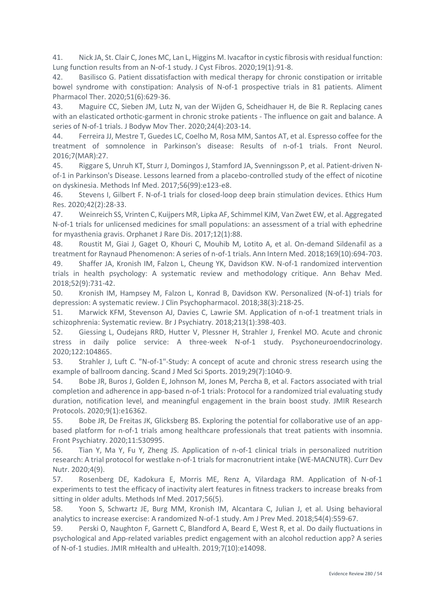41. Nick JA, St. Clair C, Jones MC, Lan L, Higgins M. Ivacaftor in cystic fibrosis with residual function: Lung function results from an N-of-1 study. J Cyst Fibros. 2020;19(1):91-8.

42. Basilisco G. Patient dissatisfaction with medical therapy for chronic constipation or irritable bowel syndrome with constipation: Analysis of N-of-1 prospective trials in 81 patients. Aliment Pharmacol Ther. 2020;51(6):629-36.

43. Maguire CC, Sieben JM, Lutz N, van der Wijden G, Scheidhauer H, de Bie R. Replacing canes with an elasticated orthotic-garment in chronic stroke patients - The influence on gait and balance. A series of N-of-1 trials. J Bodyw Mov Ther. 2020;24(4):203-14.

44. Ferreira JJ, Mestre T, Guedes LC, Coelho M, Rosa MM, Santos AT, et al. Espresso coffee for the treatment of somnolence in Parkinson's disease: Results of n-of-1 trials. Front Neurol. 2016;7(MAR):27.

45. Riggare S, Unruh KT, Sturr J, Domingos J, Stamford JA, Svenningsson P, et al. Patient-driven Nof-1 in Parkinson's Disease. Lessons learned from a placebo-controlled study of the effect of nicotine on dyskinesia. Methods Inf Med. 2017;56(99):e123-e8.

46. Stevens I, Gilbert F. N-of-1 trials for closed-loop deep brain stimulation devices. Ethics Hum Res. 2020;42(2):28-33.

47. Weinreich SS, Vrinten C, Kuijpers MR, Lipka AF, Schimmel KJM, Van Zwet EW, et al. Aggregated N-of-1 trials for unlicensed medicines for small populations: an assessment of a trial with ephedrine for myasthenia gravis. Orphanet J Rare Dis. 2017;12(1):88.

48. Roustit M, Giai J, Gaget O, Khouri C, Mouhib M, Lotito A, et al. On-demand Sildenafil as a treatment for Raynaud Phenomenon: A series of n-of-1 trials. Ann Intern Med. 2018;169(10):694-703. 49. Shaffer JA, Kronish IM, Falzon L, Cheung YK, Davidson KW. N-of-1 randomized intervention trials in health psychology: A systematic review and methodology critique. Ann Behav Med. 2018;52(9):731-42.

50. Kronish IM, Hampsey M, Falzon L, Konrad B, Davidson KW. Personalized (N-of-1) trials for depression: A systematic review. J Clin Psychopharmacol. 2018;38(3):218-25.

51. Marwick KFM, Stevenson AJ, Davies C, Lawrie SM. Application of n-of-1 treatment trials in schizophrenia: Systematic review. Br J Psychiatry. 2018;213(1):398-403.

52. Giessing L, Oudejans RRD, Hutter V, Plessner H, Strahler J, Frenkel MO. Acute and chronic stress in daily police service: A three-week N-of-1 study. Psychoneuroendocrinology. 2020;122:104865.

53. Strahler J, Luft C. "N-of-1"-Study: A concept of acute and chronic stress research using the example of ballroom dancing. Scand J Med Sci Sports. 2019;29(7):1040-9.

54. Bobe JR, Buros J, Golden E, Johnson M, Jones M, Percha B, et al. Factors associated with trial completion and adherence in app-based n-of-1 trials: Protocol for a randomized trial evaluating study duration, notification level, and meaningful engagement in the brain boost study. JMIR Research Protocols. 2020;9(1):e16362.

55. Bobe JR, De Freitas JK, Glicksberg BS. Exploring the potential for collaborative use of an appbased platform for n-of-1 trials among healthcare professionals that treat patients with insomnia. Front Psychiatry. 2020;11:530995.

56. Tian Y, Ma Y, Fu Y, Zheng JS. Application of n-of-1 clinical trials in personalized nutrition research: A trial protocol for westlake n-of-1 trials for macronutrient intake (WE-MACNUTR). Curr Dev Nutr. 2020;4(9).

57. Rosenberg DE, Kadokura E, Morris ME, Renz A, Vilardaga RM. Application of N-of-1 experiments to test the efficacy of inactivity alert features in fitness trackers to increase breaks from sitting in older adults. Methods Inf Med. 2017;56(5).

58. Yoon S, Schwartz JE, Burg MM, Kronish IM, Alcantara C, Julian J, et al. Using behavioral analytics to increase exercise: A randomized N-of-1 study. Am J Prev Med. 2018;54(4):559-67.

59. Perski O, Naughton F, Garnett C, Blandford A, Beard E, West R, et al. Do daily fluctuations in psychological and App-related variables predict engagement with an alcohol reduction app? A series of N-of-1 studies. JMIR mHealth and uHealth. 2019;7(10):e14098.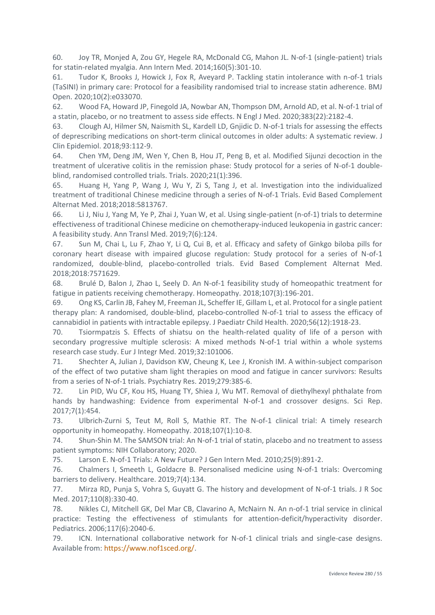60. Joy TR, Monjed A, Zou GY, Hegele RA, McDonald CG, Mahon JL. N-of-1 (single-patient) trials for statin-related myalgia. Ann Intern Med. 2014;160(5):301-10.

61. Tudor K, Brooks J, Howick J, Fox R, Aveyard P. Tackling statin intolerance with n-of-1 trials (TaSINI) in primary care: Protocol for a feasibility randomised trial to increase statin adherence. BMJ Open. 2020;10(2):e033070.

62. Wood FA, Howard JP, Finegold JA, Nowbar AN, Thompson DM, Arnold AD, et al. N-of-1 trial of a statin, placebo, or no treatment to assess side effects. N Engl J Med. 2020;383(22):2182-4.

63. Clough AJ, Hilmer SN, Naismith SL, Kardell LD, Gnjidic D. N-of-1 trials for assessing the effects of deprescribing medications on short-term clinical outcomes in older adults: A systematic review. J Clin Epidemiol. 2018;93:112-9.

64. Chen YM, Deng JM, Wen Y, Chen B, Hou JT, Peng B, et al. Modified Sijunzi decoction in the treatment of ulcerative colitis in the remission phase: Study protocol for a series of N-of-1 doubleblind, randomised controlled trials. Trials. 2020;21(1):396.

65. Huang H, Yang P, Wang J, Wu Y, Zi S, Tang J, et al. Investigation into the individualized treatment of traditional Chinese medicine through a series of N-of-1 Trials. Evid Based Complement Alternat Med. 2018;2018:5813767.

66. Li J, Niu J, Yang M, Ye P, Zhai J, Yuan W, et al. Using single-patient (n-of-1) trials to determine effectiveness of traditional Chinese medicine on chemotherapy-induced leukopenia in gastric cancer: A feasibility study. Ann Transl Med. 2019;7(6):124.

67. Sun M, Chai L, Lu F, Zhao Y, Li Q, Cui B, et al. Efficacy and safety of Ginkgo biloba pills for coronary heart disease with impaired glucose regulation: Study protocol for a series of N-of-1 randomized, double-blind, placebo-controlled trials. Evid Based Complement Alternat Med. 2018;2018:7571629.

68. Brulé D, Balon J, Zhao L, Seely D. An N-of-1 feasibility study of homeopathic treatment for fatigue in patients receiving chemotherapy. Homeopathy. 2018;107(3):196-201.

69. Ong KS, Carlin JB, Fahey M, Freeman JL, Scheffer IE, Gillam L, et al. Protocol for a single patient therapy plan: A randomised, double-blind, placebo-controlled N-of-1 trial to assess the efficacy of cannabidiol in patients with intractable epilepsy. J Paediatr Child Health. 2020;56(12):1918-23.

70. Tsiormpatzis S. Effects of shiatsu on the health-related quality of life of a person with secondary progressive multiple sclerosis: A mixed methods N-of-1 trial within a whole systems research case study. Eur J Integr Med. 2019;32:101006.

71. Shechter A, Julian J, Davidson KW, Cheung K, Lee J, Kronish IM. A within-subject comparison of the effect of two putative sham light therapies on mood and fatigue in cancer survivors: Results from a series of N-of-1 trials. Psychiatry Res. 2019;279:385-6.

72. Lin PID, Wu CF, Kou HS, Huang TY, Shiea J, Wu MT. Removal of diethylhexyl phthalate from hands by handwashing: Evidence from experimental N-of-1 and crossover designs. Sci Rep. 2017;7(1):454.

73. Ulbrich-Zurni S, Teut M, Roll S, Mathie RT. The N-of-1 clinical trial: A timely research opportunity in homeopathy. Homeopathy. 2018;107(1):10-8.

74. Shun-Shin M. The SAMSON trial: An N-of-1 trial of statin, placebo and no treatment to assess patient symptoms: NIH Collaboratory; 2020.

75. Larson E. N-of-1 Trials: A New Future? J Gen Intern Med. 2010;25(9):891-2.

76. Chalmers I, Smeeth L, Goldacre B. Personalised medicine using N-of-1 trials: Overcoming barriers to delivery. Healthcare. 2019;7(4):134.

77. Mirza RD, Punja S, Vohra S, Guyatt G. The history and development of N-of-1 trials. J R Soc Med. 2017;110(8):330-40.

78. Nikles CJ, Mitchell GK, Del Mar CB, Clavarino A, McNairn N. An n-of-1 trial service in clinical practice: Testing the effectiveness of stimulants for attention-deficit/hyperactivity disorder. Pediatrics. 2006;117(6):2040-6.

79. ICN. International collaborative network for N-of-1 clinical trials and single-case designs. Available from[: https://www.nof1sced.org/.](https://www.nof1sced.org/)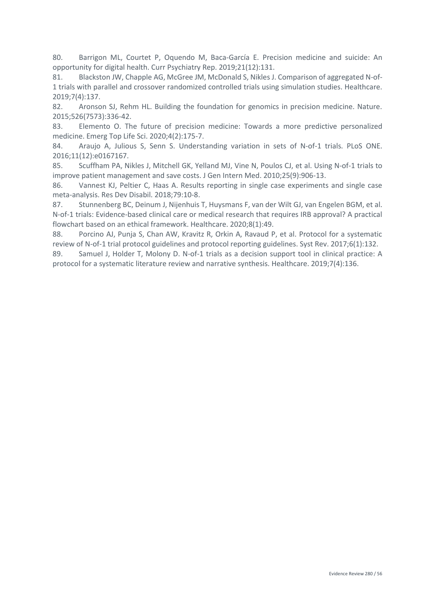80. Barrigon ML, Courtet P, Oquendo M, Baca-García E. Precision medicine and suicide: An opportunity for digital health. Curr Psychiatry Rep. 2019;21(12):131.

81. Blackston JW, Chapple AG, McGree JM, McDonald S, Nikles J. Comparison of aggregated N-of-1 trials with parallel and crossover randomized controlled trials using simulation studies. Healthcare. 2019;7(4):137.

82. Aronson SJ, Rehm HL. Building the foundation for genomics in precision medicine. Nature. 2015;526(7573):336-42.

83. Elemento O. The future of precision medicine: Towards a more predictive personalized medicine. Emerg Top Life Sci. 2020;4(2):175-7.

84. Araujo A, Julious S, Senn S. Understanding variation in sets of N-of-1 trials. PLoS ONE. 2016;11(12):e0167167.

85. Scuffham PA, Nikles J, Mitchell GK, Yelland MJ, Vine N, Poulos CJ, et al. Using N-of-1 trials to improve patient management and save costs. J Gen Intern Med. 2010;25(9):906-13.

86. Vannest KJ, Peltier C, Haas A. Results reporting in single case experiments and single case meta-analysis. Res Dev Disabil. 2018;79:10-8.

87. Stunnenberg BC, Deinum J, Nijenhuis T, Huysmans F, van der Wilt GJ, van Engelen BGM, et al. N-of-1 trials: Evidence-based clinical care or medical research that requires IRB approval? A practical flowchart based on an ethical framework. Healthcare. 2020;8(1):49.

88. Porcino AJ, Punja S, Chan AW, Kravitz R, Orkin A, Ravaud P, et al. Protocol for a systematic review of N-of-1 trial protocol guidelines and protocol reporting guidelines. Syst Rev. 2017;6(1):132.

89. Samuel J, Holder T, Molony D, N-of-1 trials as a decision support tool in clinical practice: A protocol for a systematic literature review and narrative synthesis. Healthcare. 2019;7(4):136.